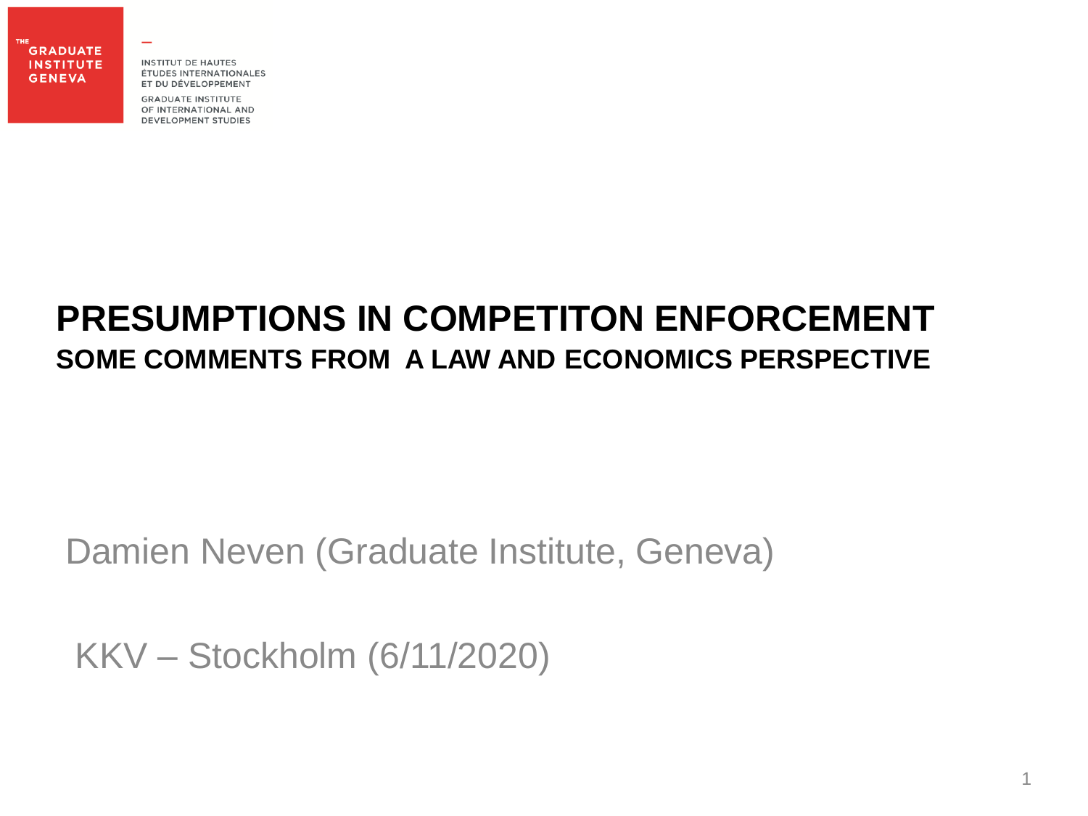THE **GRADUATE INSTITUTE GENEVA** 

**INSTITUT DE HAUTES** ÉTUDES INTERNATIONALES ET DU DÉVELOPPEMENT

**GRADUATE INSTITUTE** OF INTERNATIONAL AND **DEVELOPMENT STUDIES** 

#### **PRESUMPTIONS IN COMPETITON ENFORCEMENT SOME COMMENTS FROM A LAW AND ECONOMICS PERSPECTIVE**

#### Damien Neven (Graduate Institute, Geneva)

KKV – Stockholm (6/11/2020)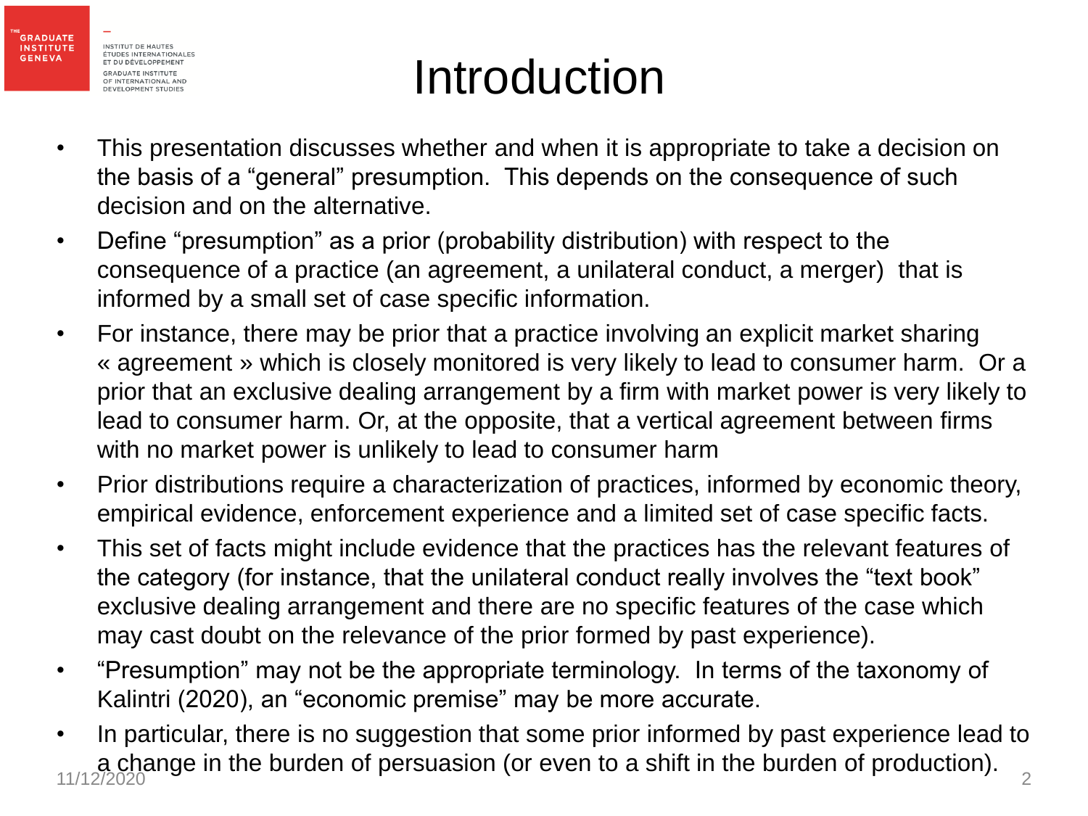

### Introduction

- This presentation discusses whether and when it is appropriate to take a decision on the basis of a "general" presumption. This depends on the consequence of such decision and on the alternative.
- Define "presumption" as a prior (probability distribution) with respect to the consequence of a practice (an agreement, a unilateral conduct, a merger) that is informed by a small set of case specific information.
- For instance, there may be prior that a practice involving an explicit market sharing « agreement » which is closely monitored is very likely to lead to consumer harm. Or a prior that an exclusive dealing arrangement by a firm with market power is very likely to lead to consumer harm. Or, at the opposite, that a vertical agreement between firms with no market power is unlikely to lead to consumer harm
- Prior distributions require a characterization of practices, informed by economic theory, empirical evidence, enforcement experience and a limited set of case specific facts.
- This set of facts might include evidence that the practices has the relevant features of the category (for instance, that the unilateral conduct really involves the "text book" exclusive dealing arrangement and there are no specific features of the case which may cast doubt on the relevance of the prior formed by past experience).
- "Presumption" may not be the appropriate terminology. In terms of the taxonomy of Kalintri (2020), an "economic premise" may be more accurate.
- In particular, there is no suggestion that some prior informed by past experience lead to a change in the burden of persuasion (or even to a shift in the burden of production). 11/12/2020 <del>9 m mo benefit or personal component to the crime in the sensitive production, 1</del>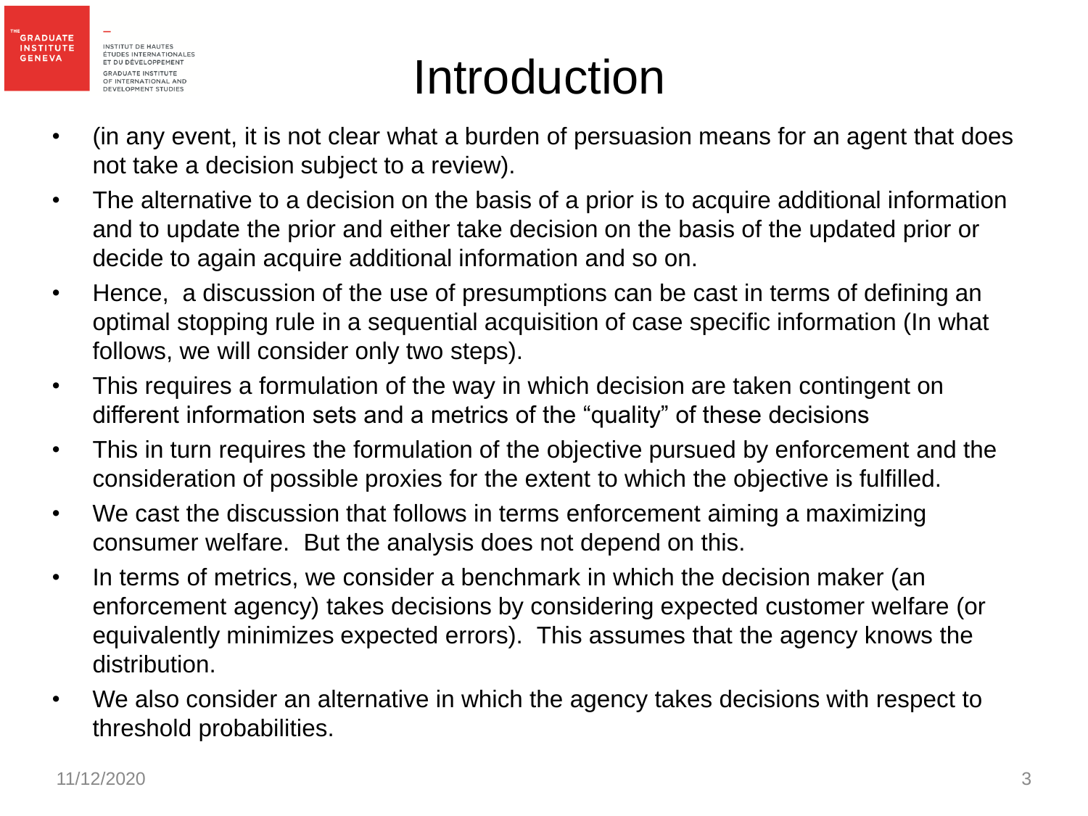

**GENEVA** 

## Introduction

- (in any event, it is not clear what a burden of persuasion means for an agent that does not take a decision subject to a review).
- The alternative to a decision on the basis of a prior is to acquire additional information and to update the prior and either take decision on the basis of the updated prior or decide to again acquire additional information and so on.
- Hence, a discussion of the use of presumptions can be cast in terms of defining an optimal stopping rule in a sequential acquisition of case specific information (In what follows, we will consider only two steps).
- This requires a formulation of the way in which decision are taken contingent on different information sets and a metrics of the "quality" of these decisions
- This in turn requires the formulation of the objective pursued by enforcement and the consideration of possible proxies for the extent to which the objective is fulfilled.
- We cast the discussion that follows in terms enforcement aiming a maximizing consumer welfare. But the analysis does not depend on this.
- In terms of metrics, we consider a benchmark in which the decision maker (an enforcement agency) takes decisions by considering expected customer welfare (or equivalently minimizes expected errors). This assumes that the agency knows the distribution.
- We also consider an alternative in which the agency takes decisions with respect to threshold probabilities.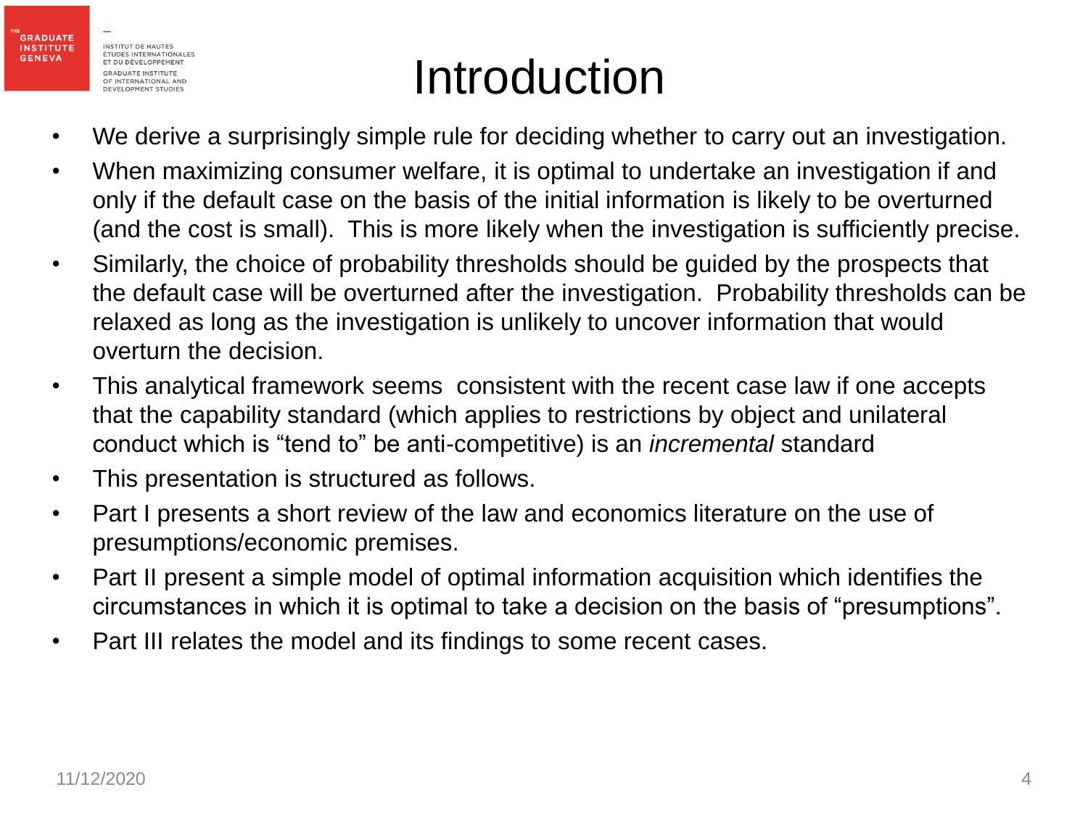

## Introduction

- We derive a surprisingly simple rule for deciding whether to carry out an investigation.
- When maximizing consumer welfare, it is optimal to undertake an investigation if and only if the default case on the basis of the initial information is likely to be overturned (and the cost is small). This is more likely when the investigation is sufficiently precise.
- Similarly, the choice of probability thresholds should be guided by the prospects that the default case will be overturned after the investigation. Probability thresholds can be relaxed as long as the investigation is unlikely to uncover information that would overturn the decision.
- This analytical framework seems consistent with the recent case law if one accepts that the capability standard (which applies to restrictions by object and unilateral conduct which is "tend to" be anti-competitive) is an *incremental* standard
- This presentation is structured as follows.
- Part I presents a short review of the law and economics literature on the use of presumptions/economic premises.
- Part II present a simple model of optimal information acquisition which identifies the circumstances in which it is optimal to take a decision on the basis of "presumptions".
- Part III relates the model and its findings to some recent cases.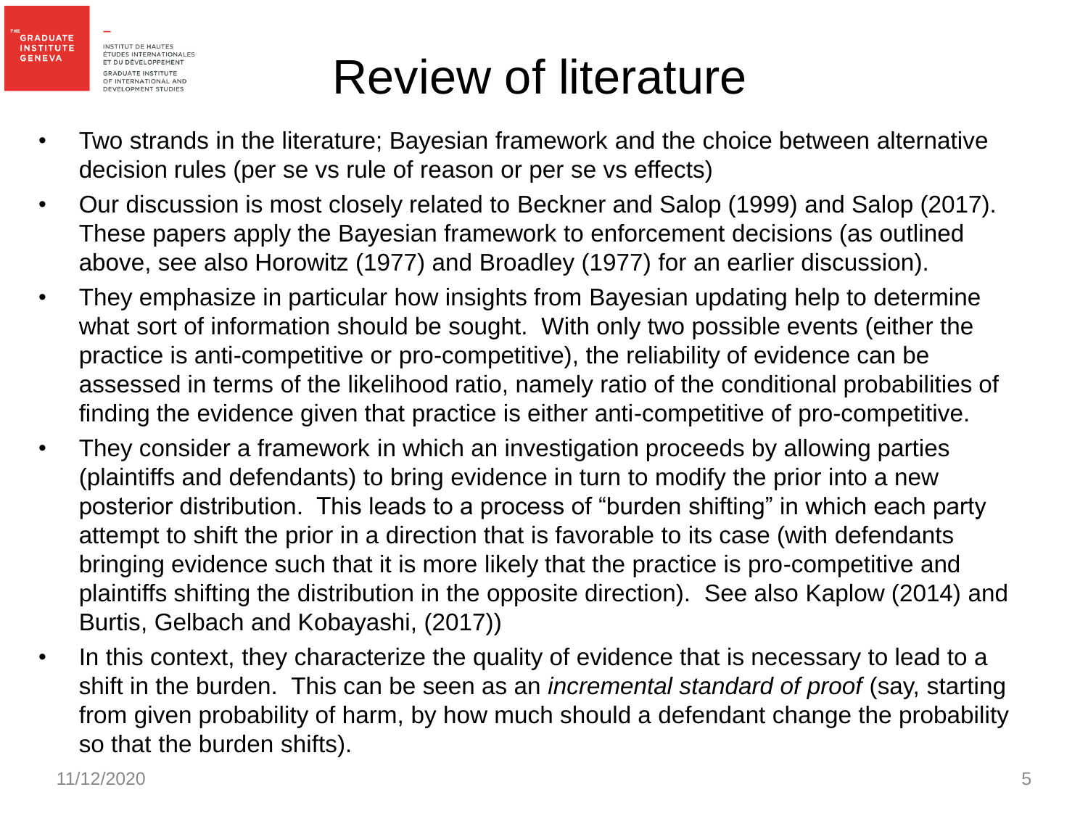

**GENEVA** 

- Two strands in the literature; Bayesian framework and the choice between alternative decision rules (per se vs rule of reason or per se vs effects)
- Our discussion is most closely related to Beckner and Salop (1999) and Salop (2017). These papers apply the Bayesian framework to enforcement decisions (as outlined above, see also Horowitz (1977) and Broadley (1977) for an earlier discussion).
- They emphasize in particular how insights from Bayesian updating help to determine what sort of information should be sought. With only two possible events (either the practice is anti-competitive or pro-competitive), the reliability of evidence can be assessed in terms of the likelihood ratio, namely ratio of the conditional probabilities of finding the evidence given that practice is either anti-competitive of pro-competitive.
- They consider a framework in which an investigation proceeds by allowing parties (plaintiffs and defendants) to bring evidence in turn to modify the prior into a new posterior distribution. This leads to a process of "burden shifting" in which each party attempt to shift the prior in a direction that is favorable to its case (with defendants bringing evidence such that it is more likely that the practice is pro-competitive and plaintiffs shifting the distribution in the opposite direction). See also Kaplow (2014) and Burtis, Gelbach and Kobayashi, (2017))
- In this context, they characterize the quality of evidence that is necessary to lead to a shift in the burden. This can be seen as an *incremental standard of proof* (say, starting from given probability of harm, by how much should a defendant change the probability so that the burden shifts).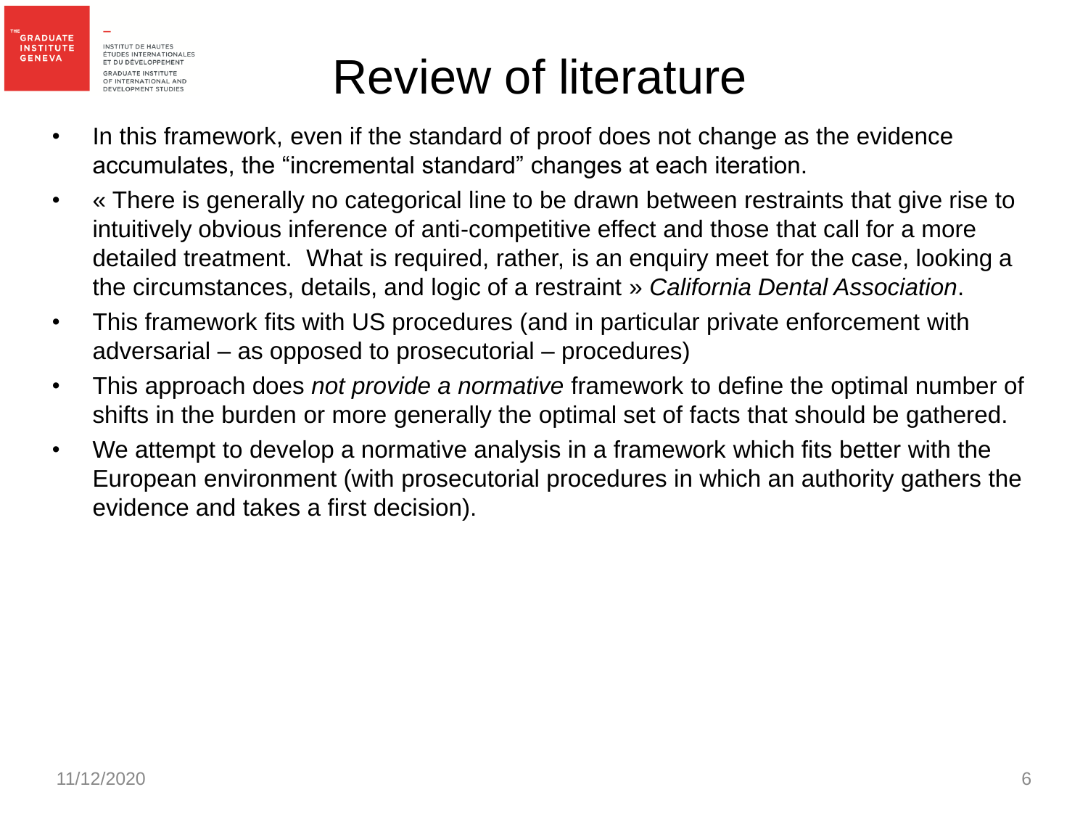

- In this framework, even if the standard of proof does not change as the evidence accumulates, the "incremental standard" changes at each iteration.
- « There is generally no categorical line to be drawn between restraints that give rise to intuitively obvious inference of anti-competitive effect and those that call for a more detailed treatment. What is required, rather, is an enquiry meet for the case, looking a the circumstances, details, and logic of a restraint » *California Dental Association*.
- This framework fits with US procedures (and in particular private enforcement with adversarial – as opposed to prosecutorial – procedures)
- This approach does *not provide a normative* framework to define the optimal number of shifts in the burden or more generally the optimal set of facts that should be gathered.
- We attempt to develop a normative analysis in a framework which fits better with the European environment (with prosecutorial procedures in which an authority gathers the evidence and takes a first decision).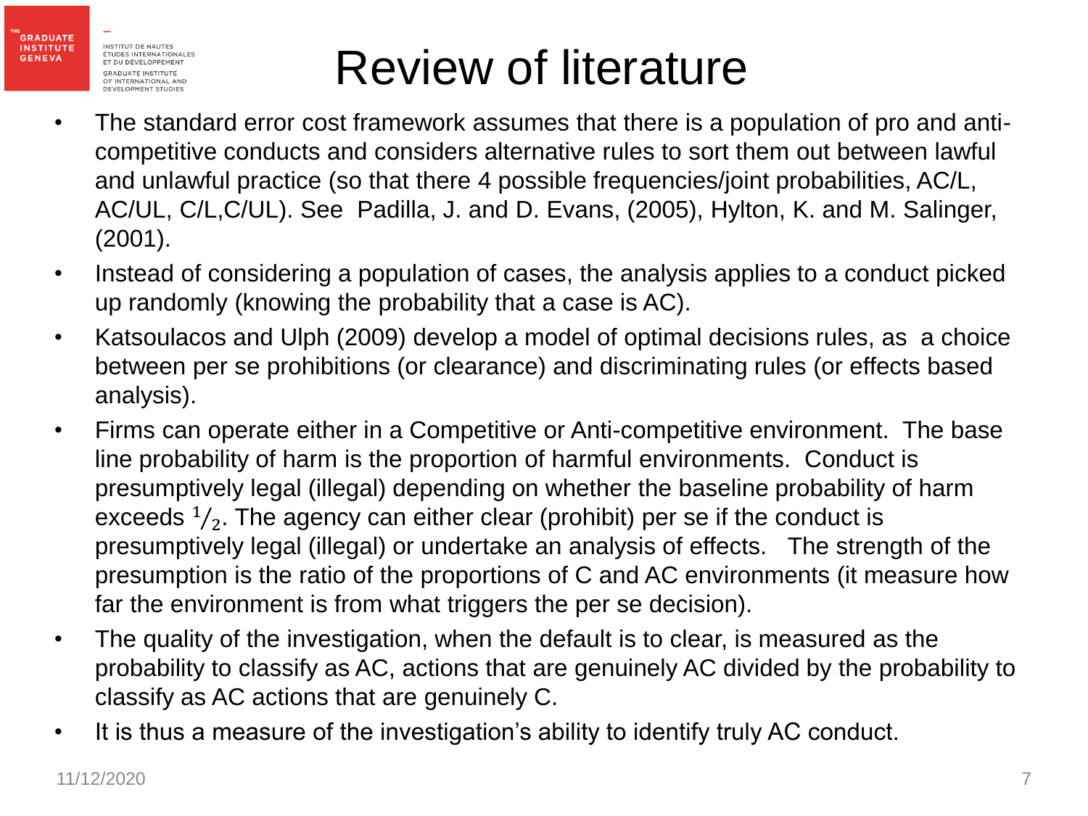

**GRADUATE INSTITUTE** 

**GENEVA** 

- The standard error cost framework assumes that there is a population of pro and anticompetitive conducts and considers alternative rules to sort them out between lawful and unlawful practice (so that there 4 possible frequencies/joint probabilities, AC/L, AC/UL, C/L,C/UL). See Padilla, J. and D. Evans, (2005), Hylton, K. and M. Salinger, (2001).
- Instead of considering a population of cases, the analysis applies to a conduct picked up randomly (knowing the probability that a case is AC).
- Katsoulacos and Ulph (2009) develop a model of optimal decisions rules, as a choice between per se prohibitions (or clearance) and discriminating rules (or effects based analysis).
- Firms can operate either in a Competitive or Anti-competitive environment. The base line probability of harm is the proportion of harmful environments. Conduct is presumptively legal (illegal) depending on whether the baseline probability of harm exceeds  $\frac{1}{2}$  $\zeta_2$ . The agency can either clear (prohibit) per se if the conduct is presumptively legal (illegal) or undertake an analysis of effects. The strength of the presumption is the ratio of the proportions of C and AC environments (it measure how far the environment is from what triggers the per se decision).
- The quality of the investigation, when the default is to clear, is measured as the probability to classify as AC, actions that are genuinely AC divided by the probability to classify as AC actions that are genuinely C.
- It is thus a measure of the investigation's ability to identify truly AC conduct.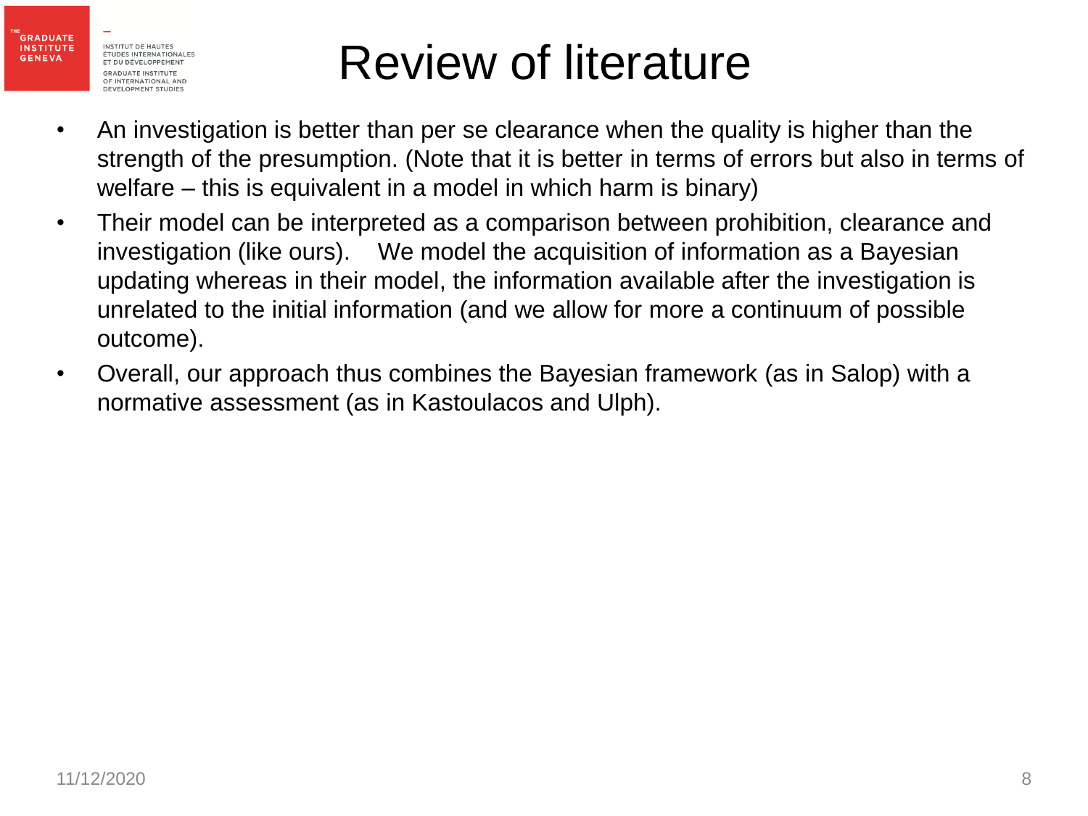

- An investigation is better than per se clearance when the quality is higher than the strength of the presumption. (Note that it is better in terms of errors but also in terms of welfare – this is equivalent in a model in which harm is binary)
- Their model can be interpreted as a comparison between prohibition, clearance and investigation (like ours). We model the acquisition of information as a Bayesian updating whereas in their model, the information available after the investigation is unrelated to the initial information (and we allow for more a continuum of possible outcome).
- Overall, our approach thus combines the Bayesian framework (as in Salop) with a normative assessment (as in Kastoulacos and Ulph).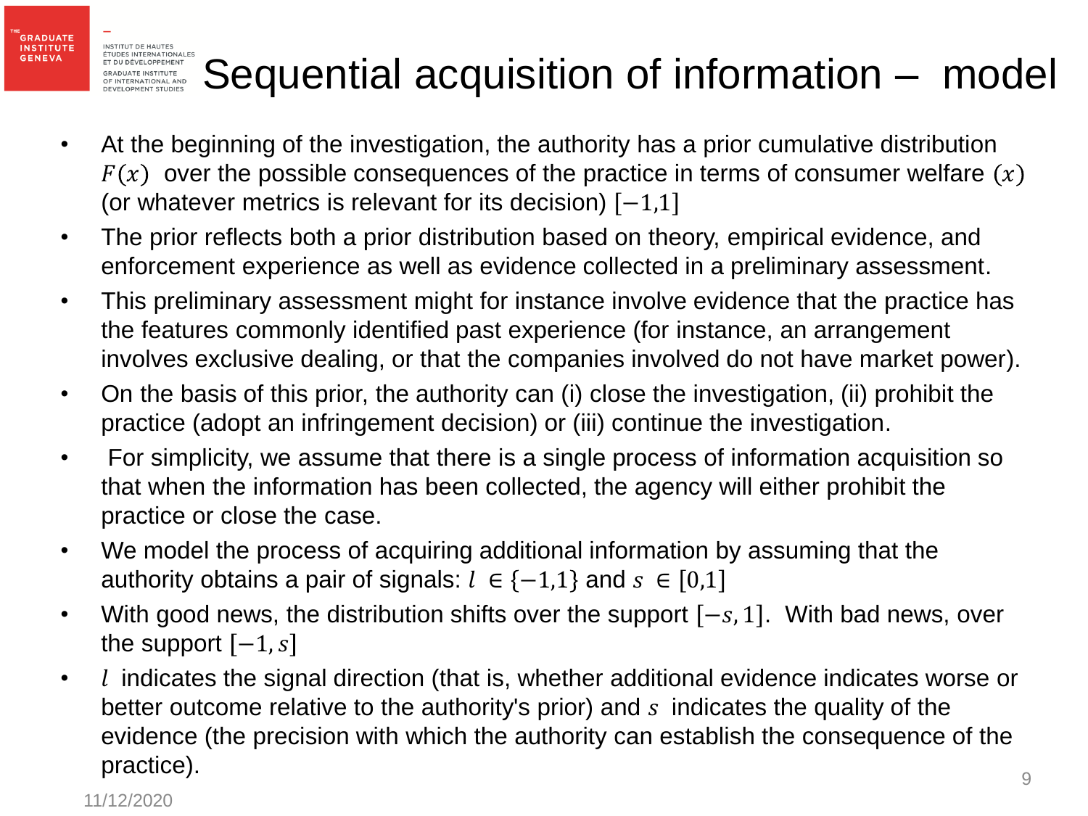#### **INSTITUT DE HAUTES** ÉTUDES INTERNATIONALES ET DU DÉVELOPPEMENT Sequential acquisition of information – model**GRADUATE INSTITUTE** OF INTERNATIONAL AND<br>DEVELOPMENT STUDIES

- At the beginning of the investigation, the authority has a prior cumulative distribution  $F(x)$  over the possible consequences of the practice in terms of consumer welfare  $(x)$ (or whatever metrics is relevant for its decision)  $[-1,1]$
- The prior reflects both a prior distribution based on theory, empirical evidence, and enforcement experience as well as evidence collected in a preliminary assessment.
- This preliminary assessment might for instance involve evidence that the practice has the features commonly identified past experience (for instance, an arrangement involves exclusive dealing, or that the companies involved do not have market power).
- On the basis of this prior, the authority can (i) close the investigation, (ii) prohibit the practice (adopt an infringement decision) or (iii) continue the investigation.
- For simplicity, we assume that there is a single process of information acquisition so that when the information has been collected, the agency will either prohibit the practice or close the case.
- We model the process of acquiring additional information by assuming that the authority obtains a pair of signals:  $l \in \{-1,1\}$  and  $s \in [0,1]$
- With good news, the distribution shifts over the support  $[-s, 1]$ . With bad news, over the support  $[-1, s]$
- $\cdot$  *l* indicates the signal direction (that is, whether additional evidence indicates worse or better outcome relative to the authority's prior) and  $s$  indicates the quality of the evidence (the precision with which the authority can establish the consequence of the practice).

**GRADUATE INSTITUTE** 

**GENEVA**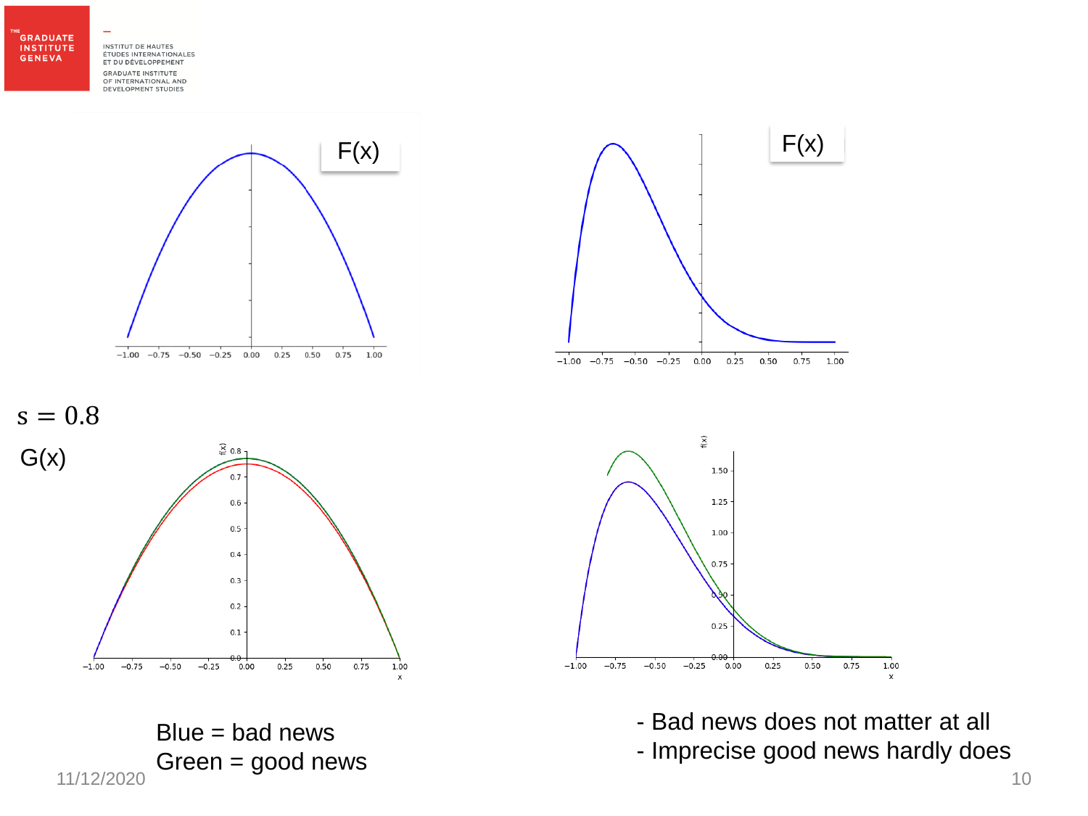THE<br>GRADUATE **INSTITUTE GENEVA** 

INSTITUT DE HAUTES ÉTUDES INTERNATIONALES ET DU DÉVELOPPEMENT **GRADUATE INSTITUTE** OF INTERNATIONAL AND<br>DEVELOPMENT STUDIES



 $\boldsymbol{\mathsf{x}}$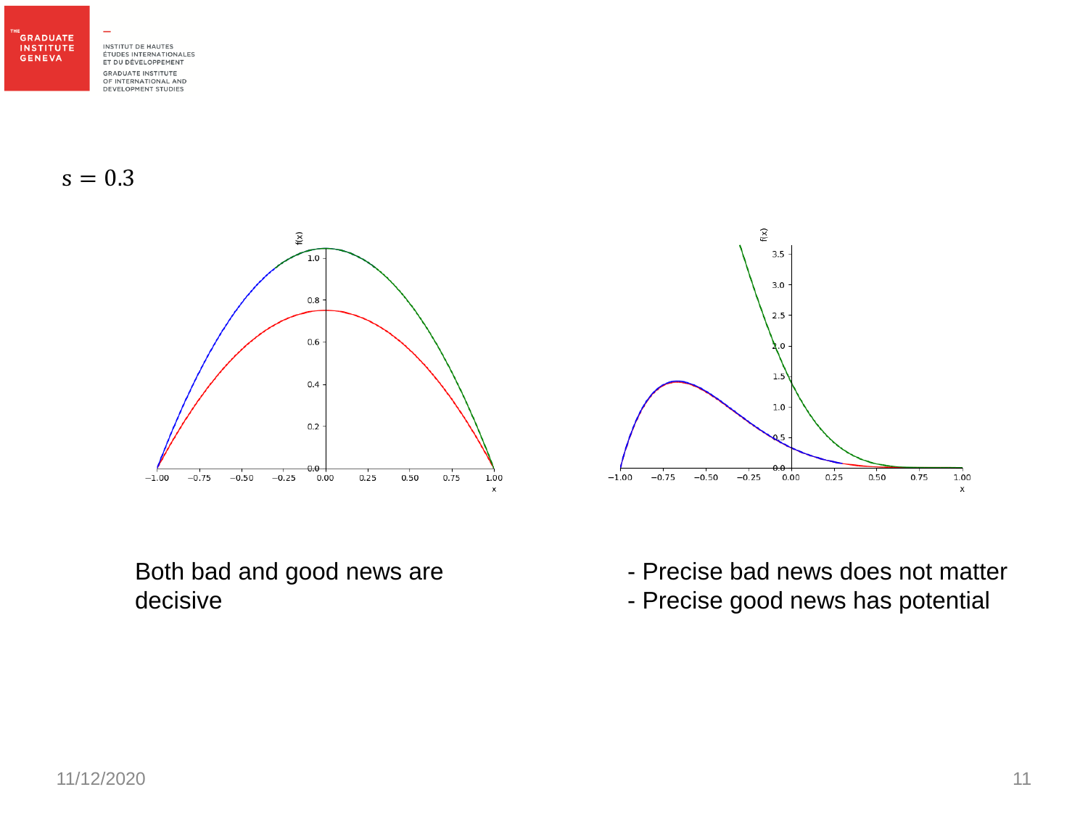THE<br>GRADUATE **INSTITUTE GENEVA** 

INSTITUT DE HAUTES ÉTUDES INTERNATIONALES ET DU DÉVELOPPEMENT **GRADUATE INSTITUTE** OF INTERNATIONAL AND<br>DEVELOPMENT STUDIES

 $s = 0.3$ 



Both bad and good news are decisive

- Precise bad news does not matter

 $0.25$ 

 $0.50$ 

 $0.75$ 

1.00

 $\pmb{\mathsf{x}}$ 

 $\mathsf{f}(\mathsf{x})$ 

 $3.5 -$ 

 $3.0$ 

 $2.5$ 

 $1.5$ 

 $1.0 \cdot$ 

э.ө

 $0.00$ 

 $-0.25$ 

 $-1.00$ 

 $-0.75$ 

 $-0.50$ 

- Precise good news has potential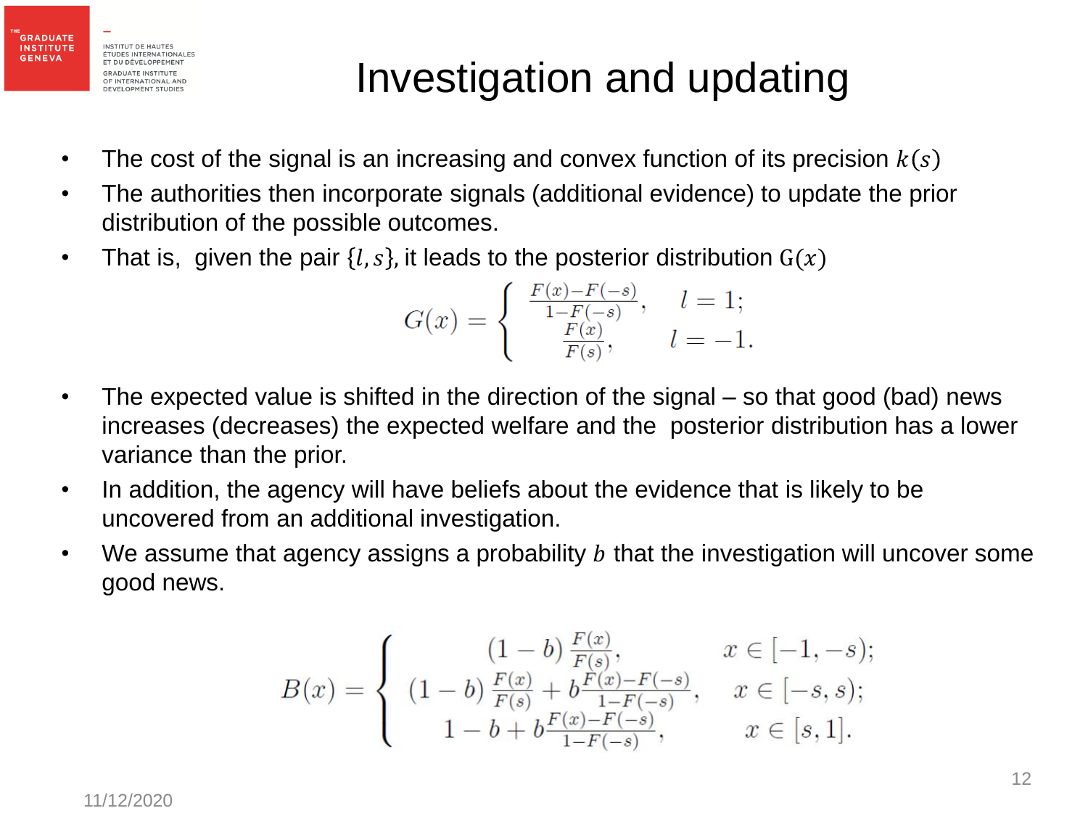

#### Investigation and updating

- The cost of the signal is an increasing and convex function of its precision  $k(s)$
- The authorities then incorporate signals (additional evidence) to update the prior distribution of the possible outcomes.
- That is, given the pair  $\{l, s\}$ , it leads to the posterior distribution  $G(x)$

$$
G(x) = \begin{cases} \frac{F(x) - F(-s)}{1 - F(-s)}, & l = 1; \\ \frac{F(x)}{F(s)}, & l = -1. \end{cases}
$$

- The expected value is shifted in the direction of the signal so that good (bad) news increases (decreases) the expected welfare and the posterior distribution has a lower variance than the prior.
- In addition, the agency will have beliefs about the evidence that is likely to be uncovered from an additional investigation.
- We assume that agency assigns a probability  $b$  that the investigation will uncover some good news.

$$
B(x) = \begin{cases} (1-b)\frac{F(x)}{F(s)}, & x \in [-1, -s); \\ (1-b)\frac{F(x)}{F(s)} + b\frac{F(x) - F(-s)}{1 - F(-s)}, & x \in [-s, s); \\ 1 - b + b\frac{F(x) - F(-s)}{1 - F(-s)}, & x \in [s, 1]. \end{cases}
$$

11/12/2020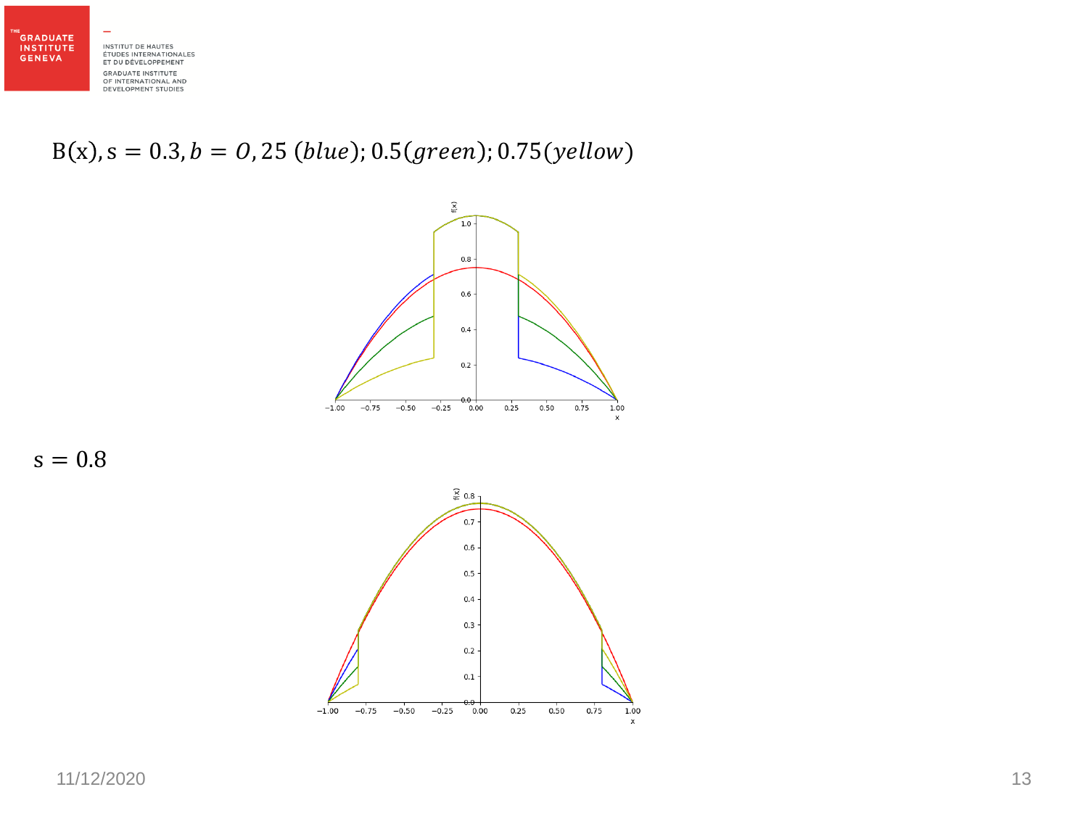

 $B(x)$ ,  $s = 0.3$ ,  $b = 0$ , 25 (blue); 0.5 (green); 0.75 (yellow)



 $s = 0.8$ 

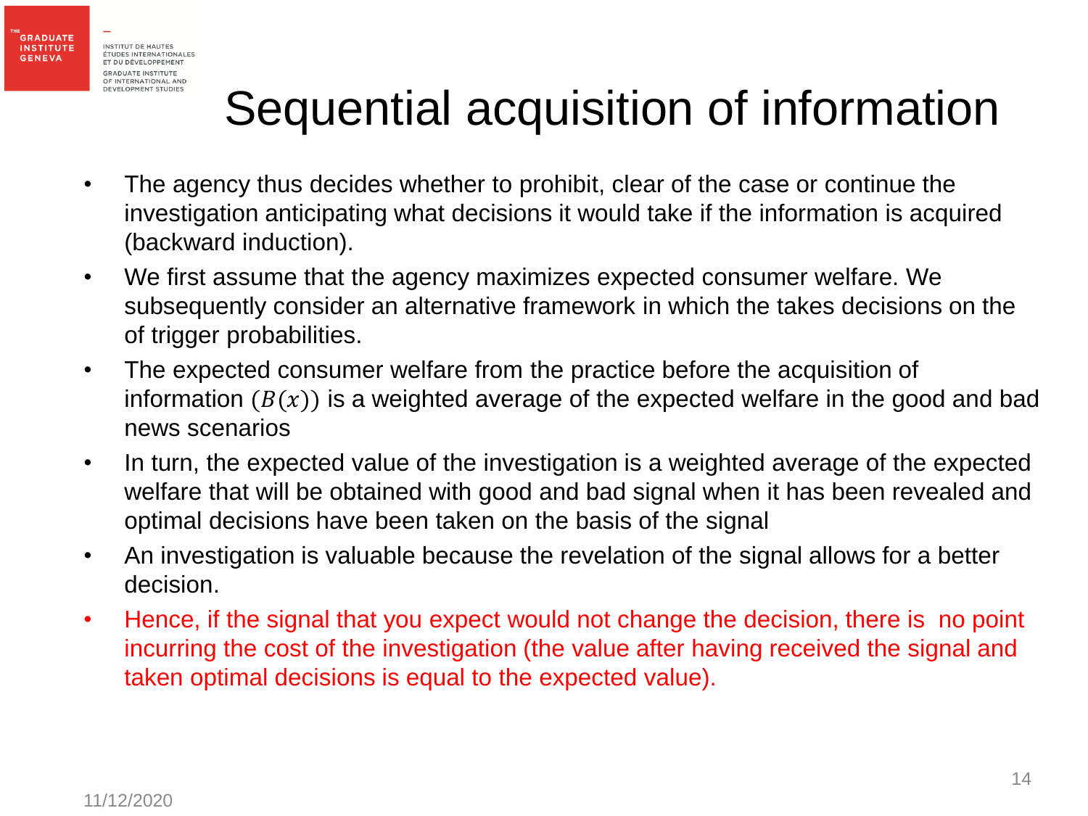

## Sequential acquisition of information

- The agency thus decides whether to prohibit, clear of the case or continue the investigation anticipating what decisions it would take if the information is acquired (backward induction).
- We first assume that the agency maximizes expected consumer welfare. We subsequently consider an alternative framework in which the takes decisions on the of trigger probabilities.
- The expected consumer welfare from the practice before the acquisition of information  $(B(x))$  is a weighted average of the expected welfare in the good and bad news scenarios
- In turn, the expected value of the investigation is a weighted average of the expected welfare that will be obtained with good and bad signal when it has been revealed and optimal decisions have been taken on the basis of the signal
- An investigation is valuable because the revelation of the signal allows for a better decision.
- Hence, if the signal that you expect would not change the decision, there is no point incurring the cost of the investigation (the value after having received the signal and taken optimal decisions is equal to the expected value).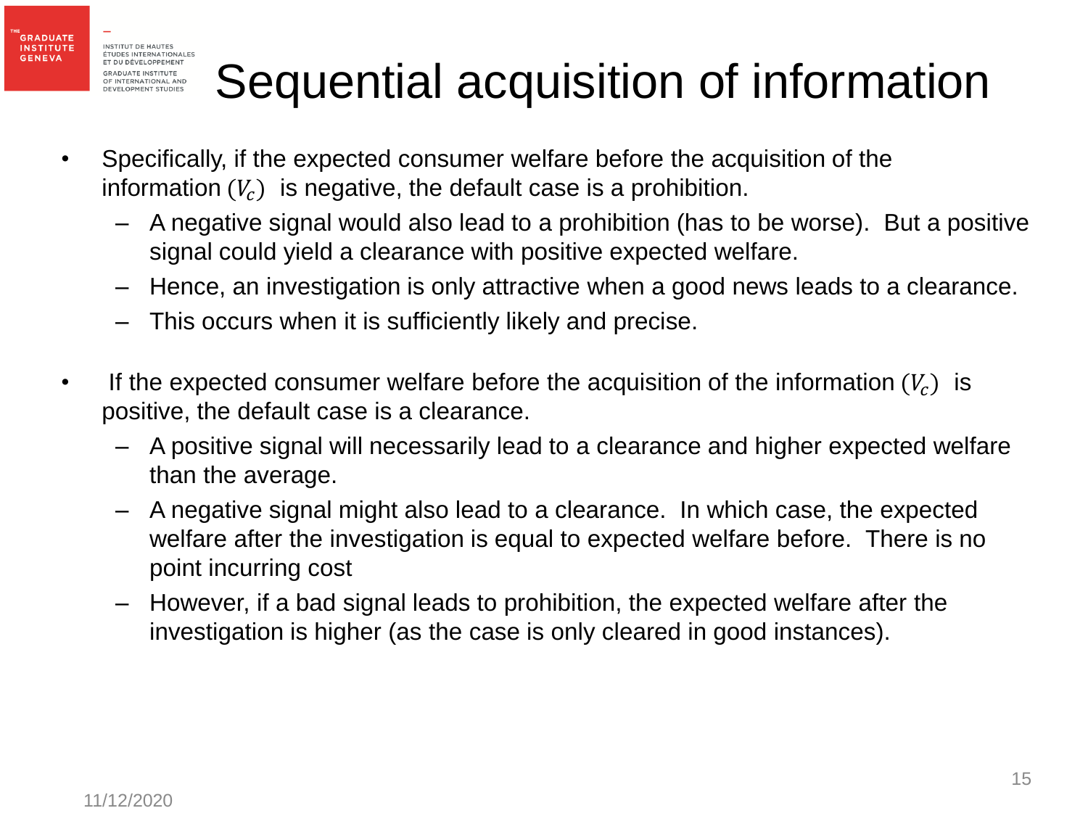**GRADUATE INSTITUTE** 

**GENEVA** 

# Sequential acquisition of information

- Specifically, if the expected consumer welfare before the acquisition of the information  $(V<sub>c</sub>)$  is negative, the default case is a prohibition.
	- A negative signal would also lead to a prohibition (has to be worse). But a positive signal could yield a clearance with positive expected welfare.
	- Hence, an investigation is only attractive when a good news leads to a clearance.
	- This occurs when it is sufficiently likely and precise.
- If the expected consumer welfare before the acquisition of the information  $(V_c)$  is positive, the default case is a clearance.
	- A positive signal will necessarily lead to a clearance and higher expected welfare than the average.
	- A negative signal might also lead to a clearance. In which case, the expected welfare after the investigation is equal to expected welfare before. There is no point incurring cost
	- However, if a bad signal leads to prohibition, the expected welfare after the investigation is higher (as the case is only cleared in good instances).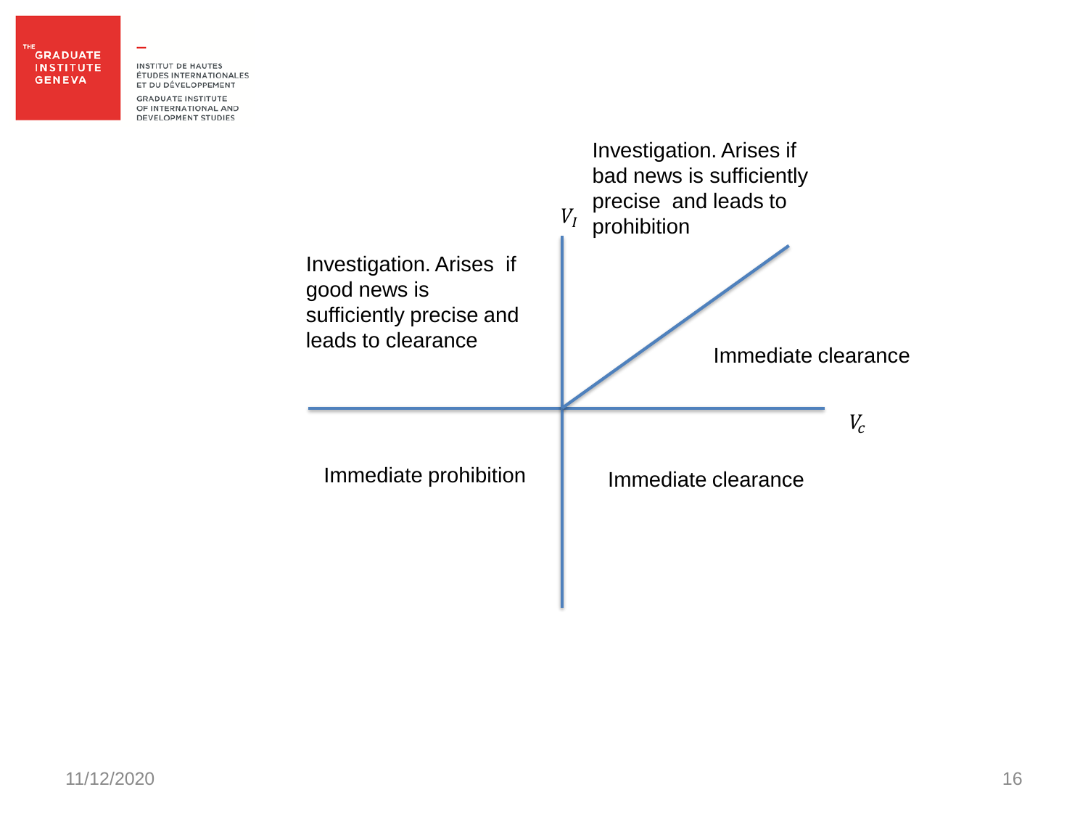#### **GRADUATE INSTITUTE GENEVA**

**INSTITUT DE HAUTES** ÉTUDES INTERNATIONALES ET DU DÉVELOPPEMENT

**GRADUATE INSTITUTE** OF INTERNATIONAL AND **DEVELOPMENT STUDIES** 

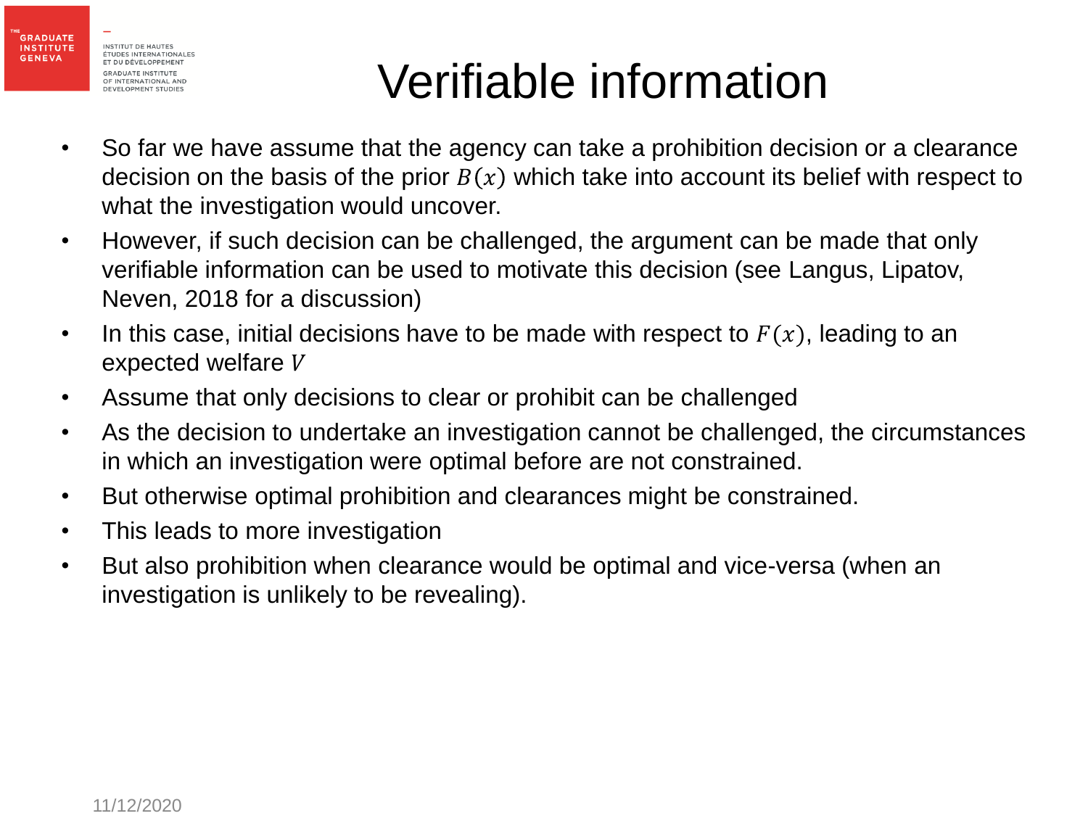

## Verifiable information

- So far we have assume that the agency can take a prohibition decision or a clearance decision on the basis of the prior  $B(x)$  which take into account its belief with respect to what the investigation would uncover.
- However, if such decision can be challenged, the argument can be made that only verifiable information can be used to motivate this decision (see Langus, Lipatov, Neven, 2018 for a discussion)
- In this case, initial decisions have to be made with respect to  $F(x)$ , leading to an expected welfare V
- Assume that only decisions to clear or prohibit can be challenged
- As the decision to undertake an investigation cannot be challenged, the circumstances in which an investigation were optimal before are not constrained.
- But otherwise optimal prohibition and clearances might be constrained.
- This leads to more investigation
- But also prohibition when clearance would be optimal and vice-versa (when an investigation is unlikely to be revealing).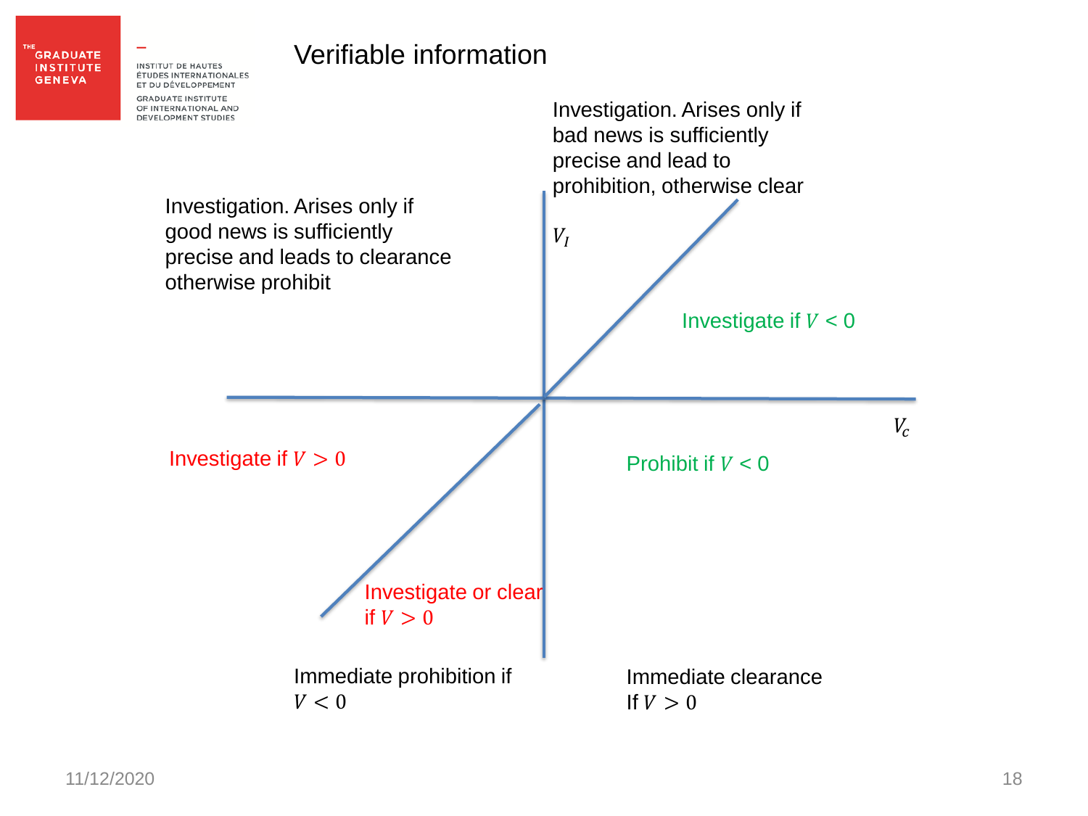

#### Verifiable information

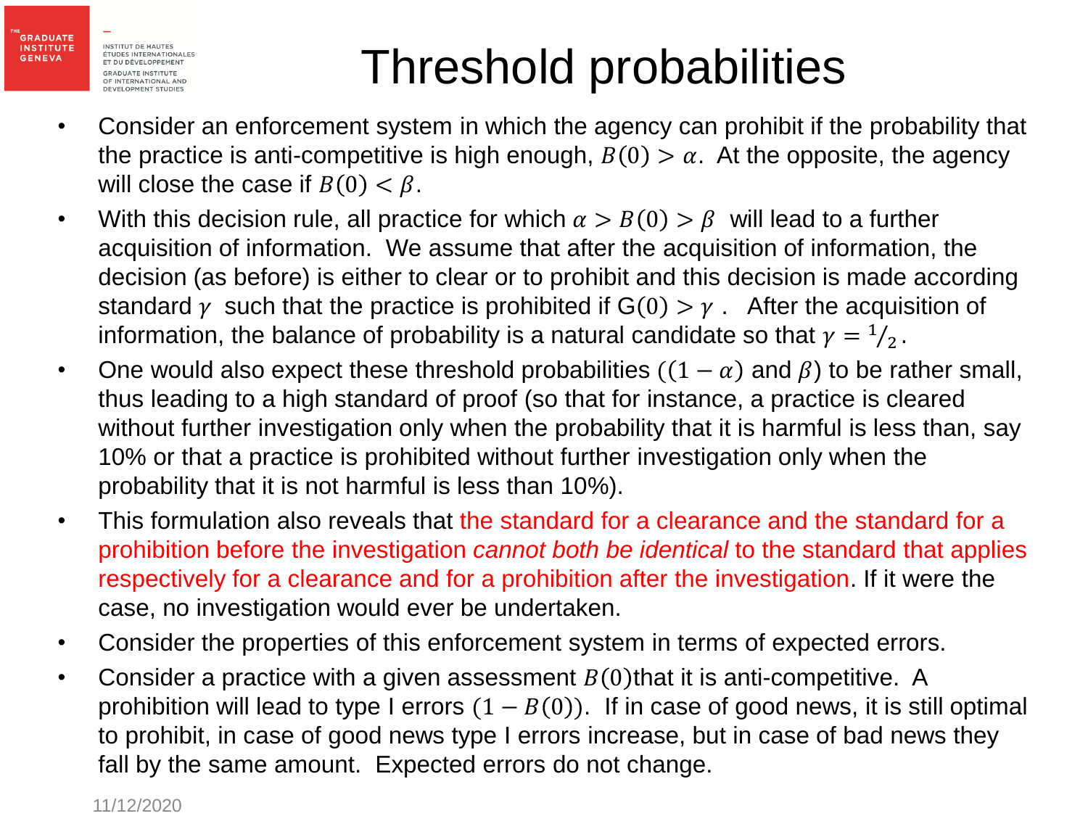**GRADUATE INSTITUTE** 

**GENEVA** 

## Threshold probabilities

- Consider an enforcement system in which the agency can prohibit if the probability that the practice is anti-competitive is high enough,  $B(0) > \alpha$ . At the opposite, the agency will close the case if  $B(0) < \beta$ .
- With this decision rule, all practice for which  $\alpha > B(0) > \beta$  will lead to a further acquisition of information. We assume that after the acquisition of information, the decision (as before) is either to clear or to prohibit and this decision is made according standard  $\gamma$  such that the practice is prohibited if  $G(0) > \gamma$ . After the acquisition of information, the balance of probability is a natural candidate so that  $\gamma = \frac{1}{2}$  $\frac{1}{2}$ .
- One would also expect these threshold probabilities  $((1 \alpha)$  and  $\beta)$  to be rather small, thus leading to a high standard of proof (so that for instance, a practice is cleared without further investigation only when the probability that it is harmful is less than, say 10% or that a practice is prohibited without further investigation only when the probability that it is not harmful is less than 10%).
- This formulation also reveals that the standard for a clearance and the standard for a prohibition before the investigation *cannot both be identical* to the standard that applies respectively for a clearance and for a prohibition after the investigation. If it were the case, no investigation would ever be undertaken.
- Consider the properties of this enforcement system in terms of expected errors.
- Consider a practice with a given assessment  $B(0)$  that it is anti-competitive. A prohibition will lead to type I errors  $(1 - B(0))$ . If in case of good news, it is still optimal to prohibit, in case of good news type I errors increase, but in case of bad news they fall by the same amount. Expected errors do not change.

11/12/2020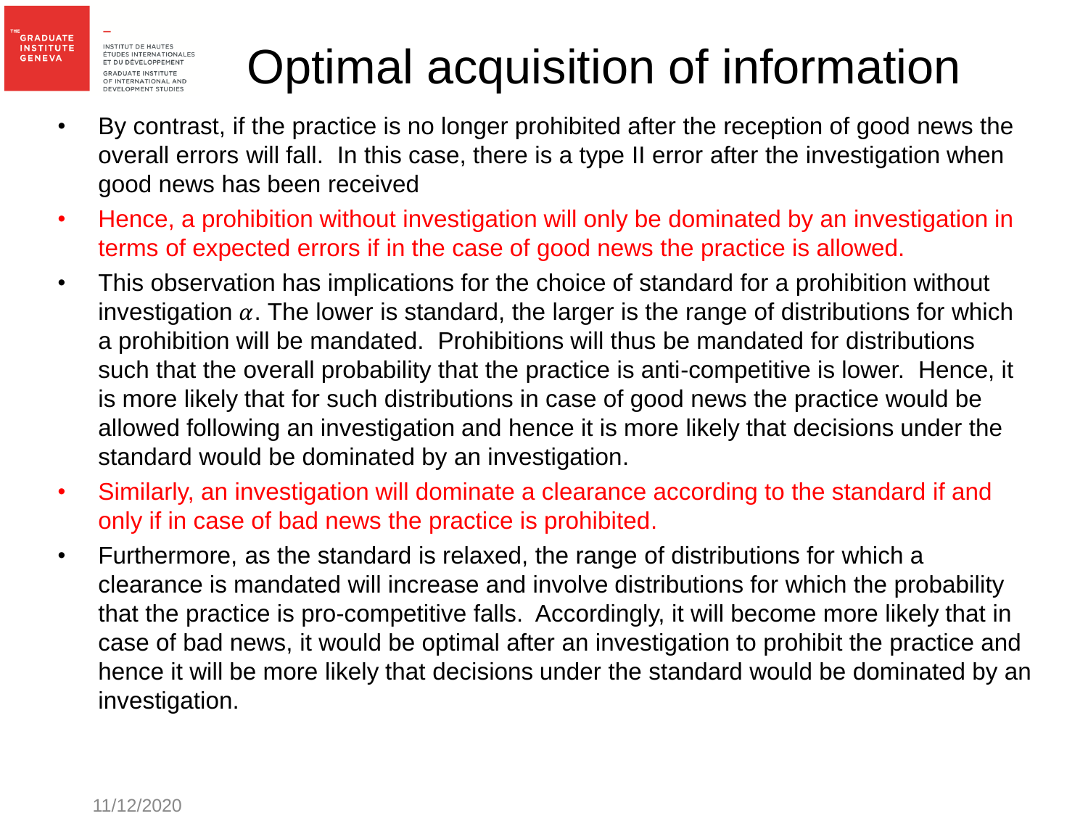**GRADUATE INSTITUTE** 

**GENEVA** 

# Optimal acquisition of information

- By contrast, if the practice is no longer prohibited after the reception of good news the overall errors will fall. In this case, there is a type II error after the investigation when good news has been received
- Hence, a prohibition without investigation will only be dominated by an investigation in terms of expected errors if in the case of good news the practice is allowed.
- This observation has implications for the choice of standard for a prohibition without investigation  $\alpha$ . The lower is standard, the larger is the range of distributions for which a prohibition will be mandated. Prohibitions will thus be mandated for distributions such that the overall probability that the practice is anti-competitive is lower. Hence, it is more likely that for such distributions in case of good news the practice would be allowed following an investigation and hence it is more likely that decisions under the standard would be dominated by an investigation.
- Similarly, an investigation will dominate a clearance according to the standard if and only if in case of bad news the practice is prohibited.
- Furthermore, as the standard is relaxed, the range of distributions for which a clearance is mandated will increase and involve distributions for which the probability that the practice is pro-competitive falls. Accordingly, it will become more likely that in case of bad news, it would be optimal after an investigation to prohibit the practice and hence it will be more likely that decisions under the standard would be dominated by an investigation.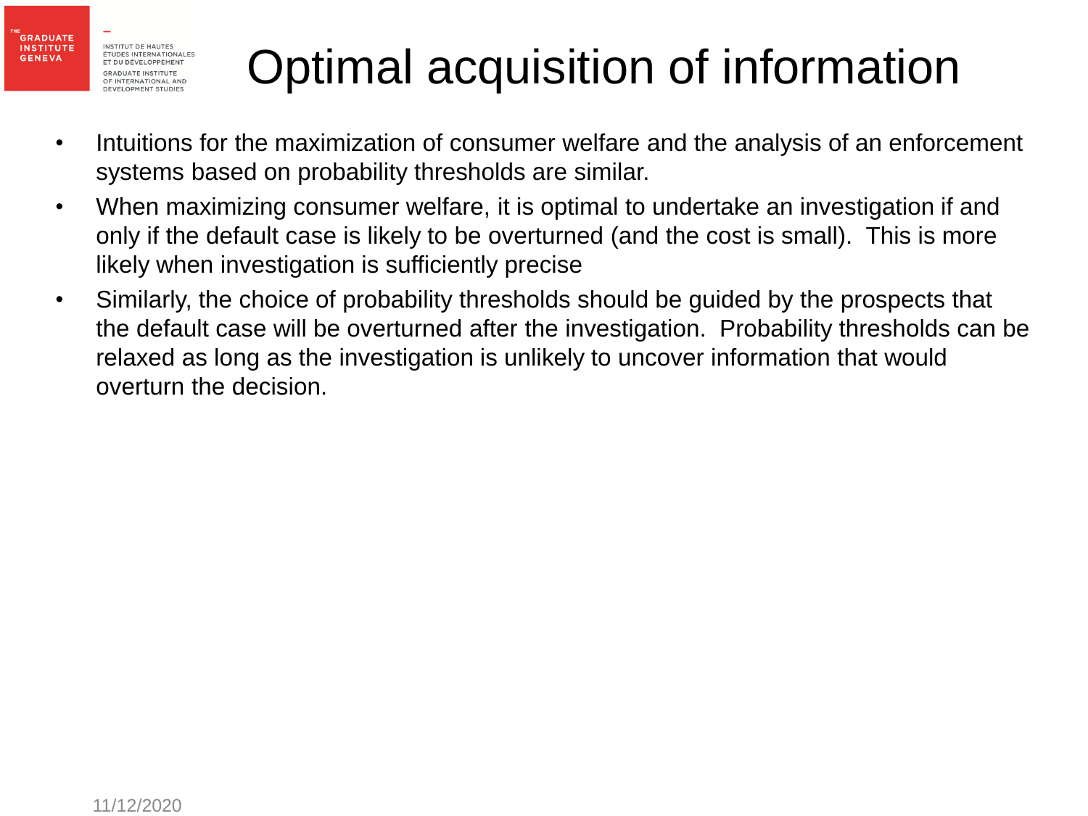**GRADUATE INSTITUTE** 

**GENEVA** 

## Optimal acquisition of information

- Intuitions for the maximization of consumer welfare and the analysis of an enforcement systems based on probability thresholds are similar.
- When maximizing consumer welfare, it is optimal to undertake an investigation if and only if the default case is likely to be overturned (and the cost is small). This is more likely when investigation is sufficiently precise
- Similarly, the choice of probability thresholds should be guided by the prospects that the default case will be overturned after the investigation. Probability thresholds can be relaxed as long as the investigation is unlikely to uncover information that would overturn the decision.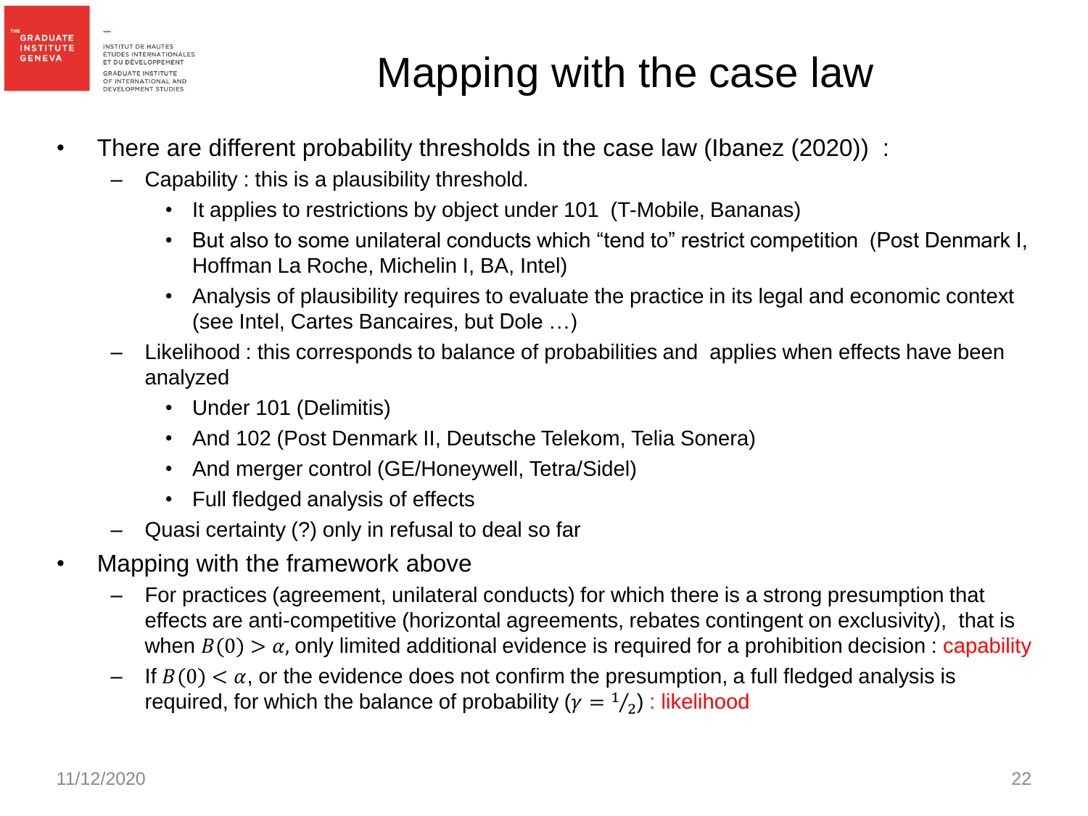

#### Mapping with the case law

- There are different probability thresholds in the case law (Ibanez (2020)) :
	- Capability : this is a plausibility threshold.
		- It applies to restrictions by object under 101 (T-Mobile, Bananas)
		- But also to some unilateral conducts which "tend to" restrict competition (Post Denmark I, Hoffman La Roche, Michelin I, BA, Intel)
		- Analysis of plausibility requires to evaluate the practice in its legal and economic context (see Intel, Cartes Bancaires, but Dole …)
	- Likelihood : this corresponds to balance of probabilities and applies when effects have been analyzed
		- Under 101 (Delimitis)
		- And 102 (Post Denmark II, Deutsche Telekom, Telia Sonera)
		- And merger control (GE/Honeywell, Tetra/Sidel)
		- Full fledged analysis of effects
	- Quasi certainty (?) only in refusal to deal so far
- Mapping with the framework above
	- For practices (agreement, unilateral conducts) for which there is a strong presumption that effects are anti-competitive (horizontal agreements, rebates contingent on exclusivity), that is when  $B(0) > \alpha$ , only limited additional evidence is required for a prohibition decision: capability
	- If  $B(0) < \alpha$ , or the evidence does not confirm the presumption, a full fledged analysis is required, for which the balance of probability ( $\gamma = \frac{1}{2}$ ) : likelihood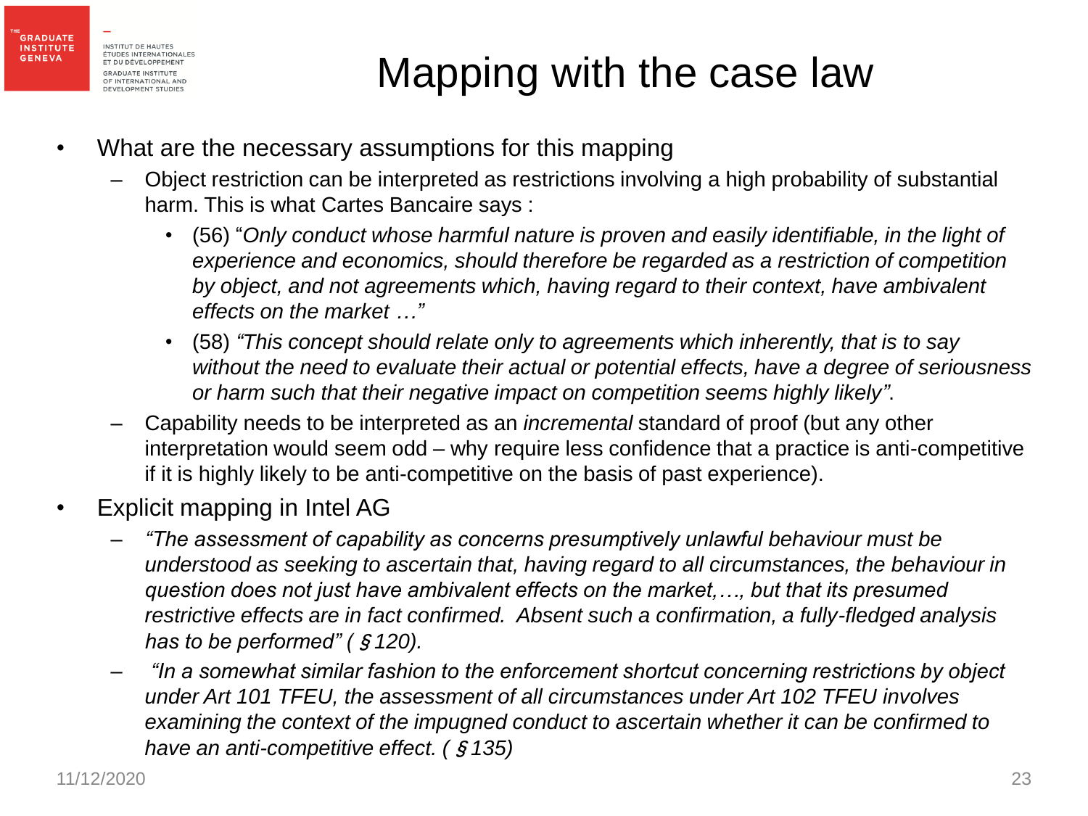

#### Mapping with the case law

- What are the necessary assumptions for this mapping
	- Object restriction can be interpreted as restrictions involving a high probability of substantial harm. This is what Cartes Bancaire says :
		- (56) "*Only conduct whose harmful nature is proven and easily identifiable, in the light of experience and economics, should therefore be regarded as a restriction of competition by object, and not agreements which, having regard to their context, have ambivalent effects on the market …"*
		- (58) *"This concept should relate only to agreements which inherently, that is to say without the need to evaluate their actual or potential effects, have a degree of seriousness or harm such that their negative impact on competition seems highly likely"*.
	- Capability needs to be interpreted as an *incremental* standard of proof (but any other interpretation would seem odd – why require less confidence that a practice is anti-competitive if it is highly likely to be anti-competitive on the basis of past experience).
- Explicit mapping in Intel AG
	- *"The assessment of capability as concerns presumptively unlawful behaviour must be understood as seeking to ascertain that, having regard to all circumstances, the behaviour in question does not just have ambivalent effects on the market,…, but that its presumed restrictive effects are in fact confirmed. Absent such a confirmation, a fully-fledged analysis has to be performed" (*§*120).*
	- *"In a somewhat similar fashion to the enforcement shortcut concerning restrictions by object under Art 101 TFEU, the assessment of all circumstances under Art 102 TFEU involves examining the context of the impugned conduct to ascertain whether it can be confirmed to have an anti-competitive effect. (*§*135)*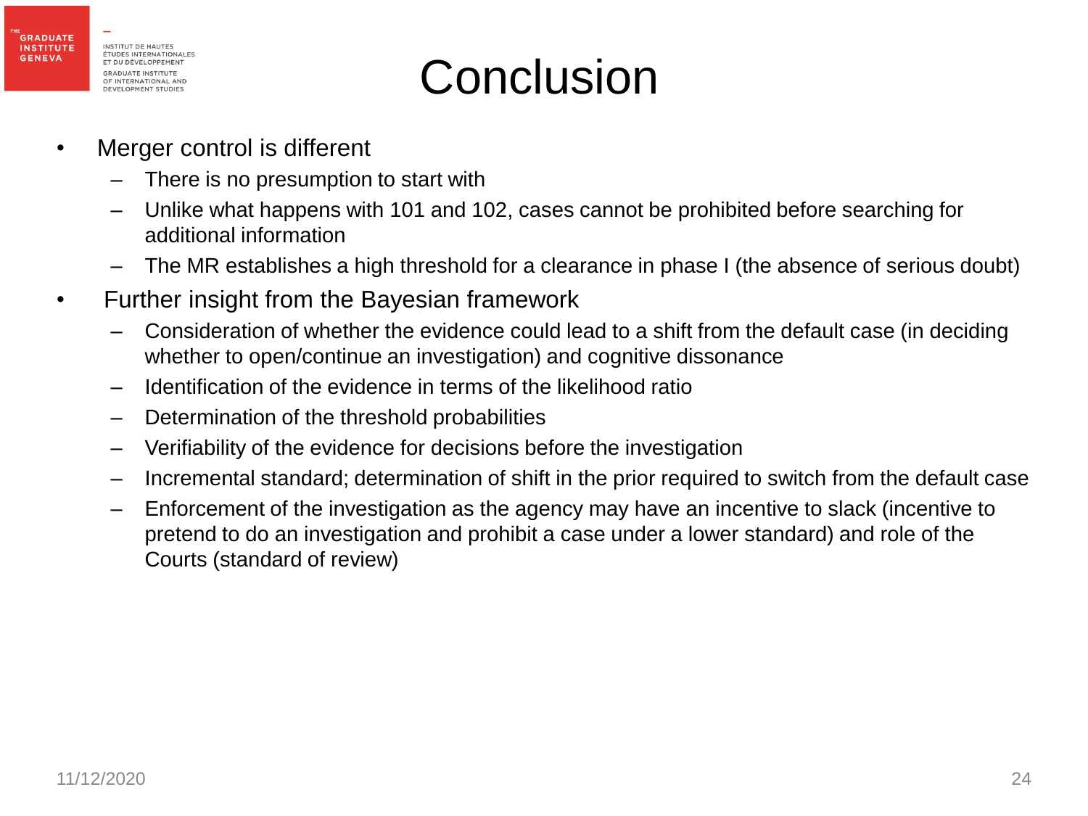

#### **Conclusion**

- Merger control is different
	- There is no presumption to start with
	- Unlike what happens with 101 and 102, cases cannot be prohibited before searching for additional information
	- The MR establishes a high threshold for a clearance in phase I (the absence of serious doubt)
- Further insight from the Bayesian framework
	- Consideration of whether the evidence could lead to a shift from the default case (in deciding whether to open/continue an investigation) and cognitive dissonance
	- Identification of the evidence in terms of the likelihood ratio
	- Determination of the threshold probabilities
	- Verifiability of the evidence for decisions before the investigation
	- Incremental standard; determination of shift in the prior required to switch from the default case
	- Enforcement of the investigation as the agency may have an incentive to slack (incentive to pretend to do an investigation and prohibit a case under a lower standard) and role of the Courts (standard of review)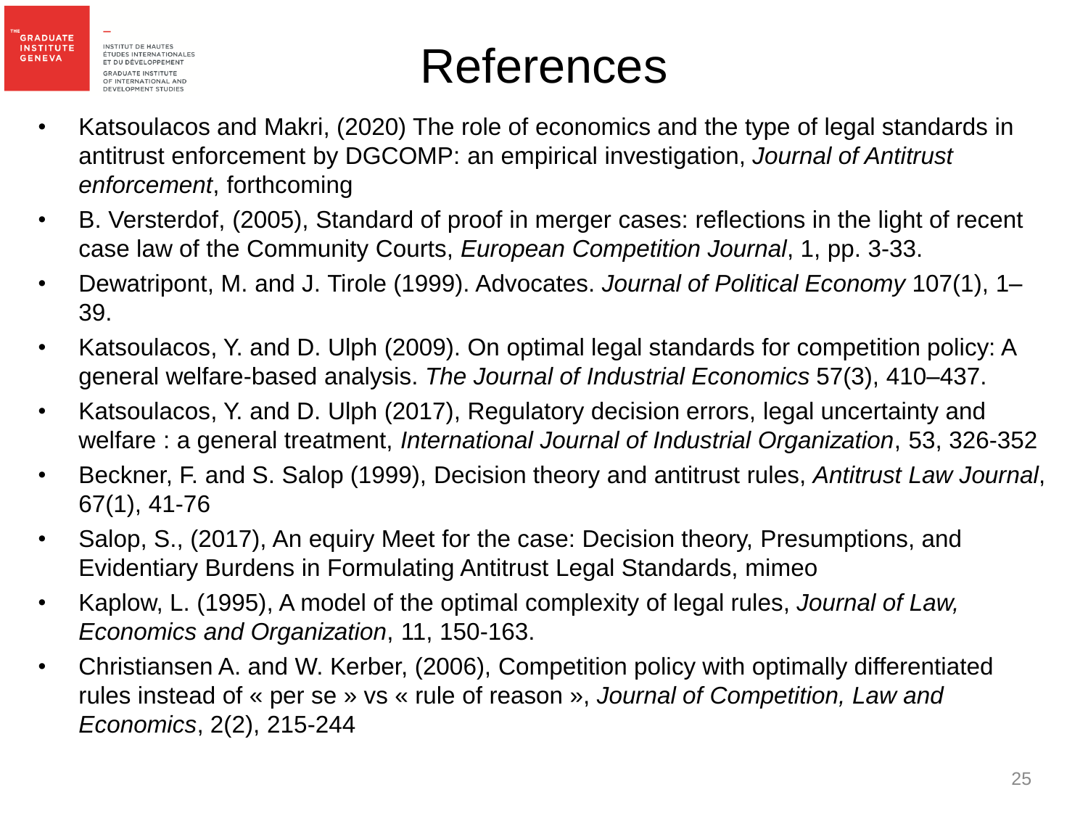

**GENEVA** 

#### References

- Katsoulacos and Makri, (2020) The role of economics and the type of legal standards in antitrust enforcement by DGCOMP: an empirical investigation, *Journal of Antitrust enforcement*, forthcoming
- B. Versterdof, (2005), Standard of proof in merger cases: reflections in the light of recent case law of the Community Courts, *European Competition Journal*, 1, pp. 3-33.
- Dewatripont, M. and J. Tirole (1999). Advocates. *Journal of Political Economy* 107(1), 1– 39.
- Katsoulacos, Y. and D. Ulph (2009). On optimal legal standards for competition policy: A general welfare-based analysis. *The Journal of Industrial Economics* 57(3), 410–437.
- Katsoulacos, Y. and D. Ulph (2017), Regulatory decision errors, legal uncertainty and welfare : a general treatment, *International Journal of Industrial Organization*, 53, 326-352
- Beckner, F. and S. Salop (1999), Decision theory and antitrust rules, *Antitrust Law Journal*, 67(1), 41-76
- Salop, S., (2017), An equiry Meet for the case: Decision theory, Presumptions, and Evidentiary Burdens in Formulating Antitrust Legal Standards, mimeo
- Kaplow, L. (1995), A model of the optimal complexity of legal rules, *Journal of Law, Economics and Organization*, 11, 150-163.
- Christiansen A. and W. Kerber, (2006), Competition policy with optimally differentiated rules instead of « per se » vs « rule of reason », *Journal of Competition, Law and Economics*, 2(2), 215-244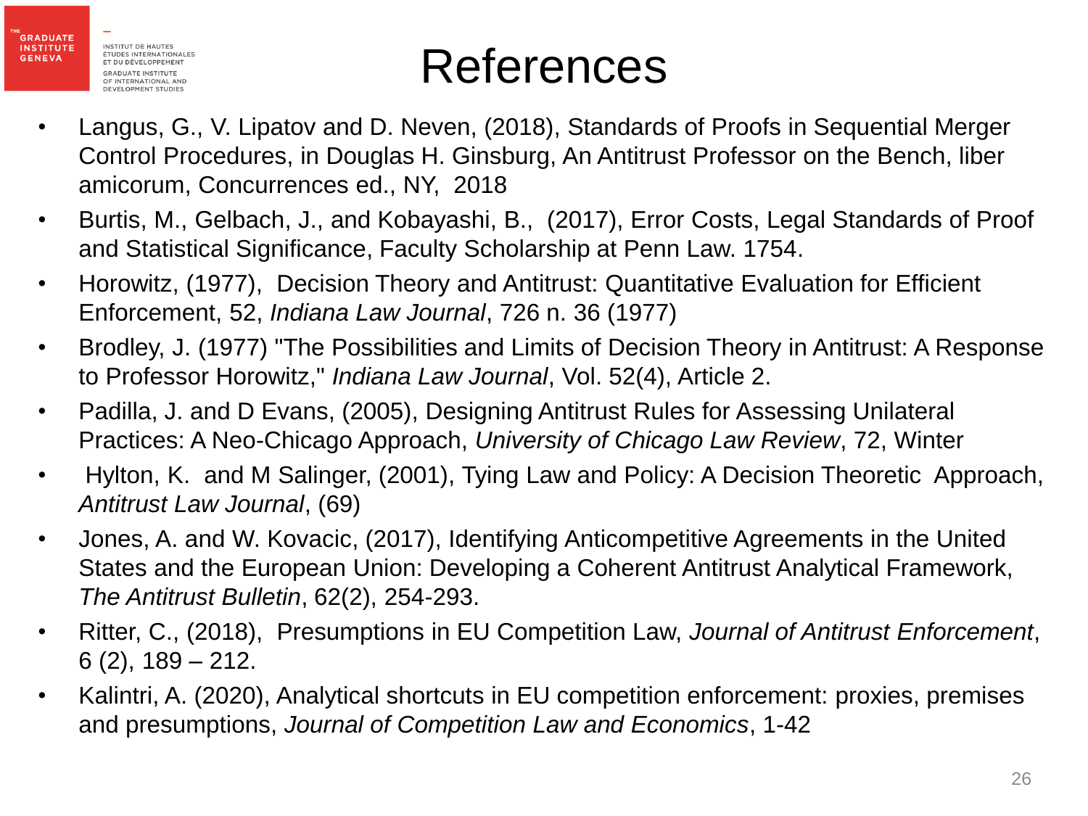

#### References

- Langus, G., V. Lipatov and D. Neven, (2018), Standards of Proofs in Sequential Merger Control Procedures, in Douglas H. Ginsburg, An Antitrust Professor on the Bench, liber amicorum, Concurrences ed., NY, 2018
- Burtis, M., Gelbach, J., and Kobayashi, B., (2017), Error Costs, Legal Standards of Proof and Statistical Significance, Faculty Scholarship at Penn Law. 1754.
- Horowitz, (1977), Decision Theory and Antitrust: Quantitative Evaluation for Efficient Enforcement, 52, *Indiana Law Journal*, 726 n. 36 (1977)
- Brodley, J. (1977) "The Possibilities and Limits of Decision Theory in Antitrust: A Response to Professor Horowitz," *Indiana Law Journal*, Vol. 52(4), Article 2.
- Padilla, J. and D Evans, (2005), Designing Antitrust Rules for Assessing Unilateral Practices: A Neo-Chicago Approach, *University of Chicago Law Review*, 72, Winter
- Hylton, K. and M Salinger, (2001), Tying Law and Policy: A Decision Theoretic Approach, *Antitrust Law Journal*, (69)
- Jones, A. and W. Kovacic, (2017), Identifying Anticompetitive Agreements in the United States and the European Union: Developing a Coherent Antitrust Analytical Framework, *The Antitrust Bulletin*, 62(2), 254-293.
- Ritter, C., (2018), Presumptions in EU Competition Law, *Journal of Antitrust Enforcement*, 6 (2), 189 – 212.
- Kalintri, A. (2020), Analytical shortcuts in EU competition enforcement: proxies, premises and presumptions, *Journal of Competition Law and Economics*, 1-42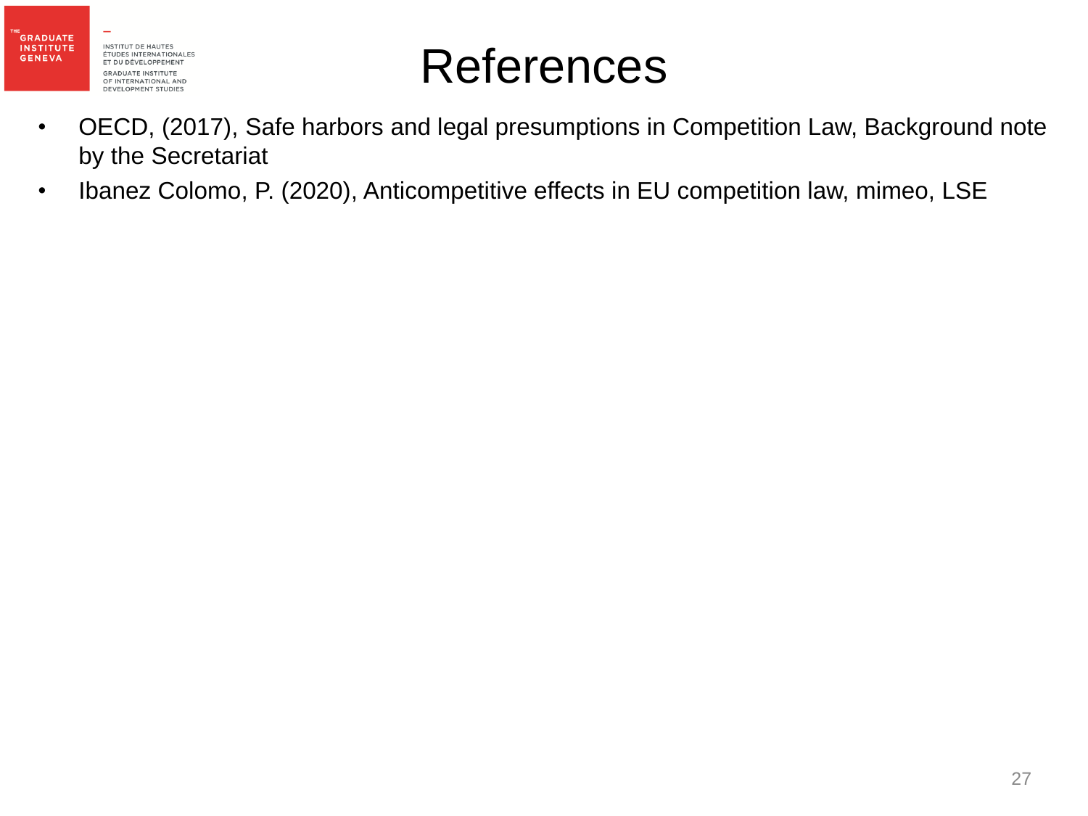

#### References

- OECD, (2017), Safe harbors and legal presumptions in Competition Law, Background note by the Secretariat
- Ibanez Colomo, P. (2020), Anticompetitive effects in EU competition law, mimeo, LSE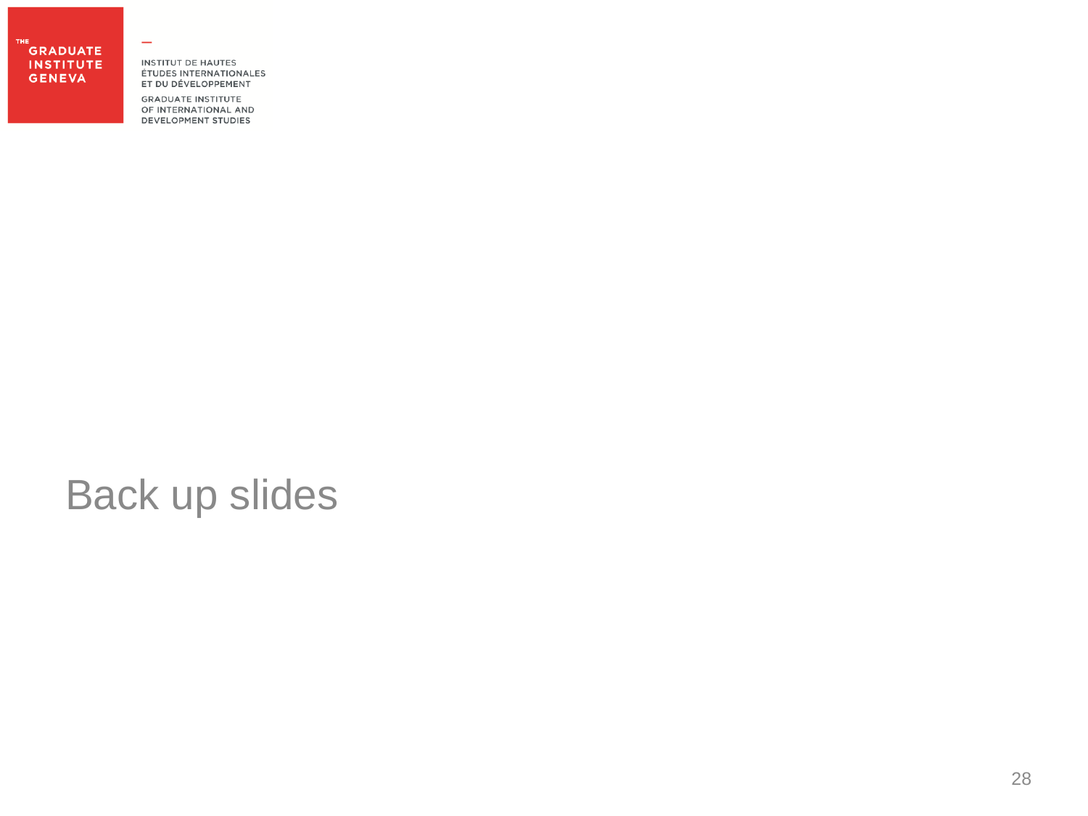#### **GRADUATE INSTITUTE GENEVA**

**INSTITUT DE HAUTES** ÉTUDES INTERNATIONALES ET DU DÉVELOPPEMENT

 $\overline{\phantom{0}}$ 

**GRADUATE INSTITUTE** OF INTERNATIONAL AND **DEVELOPMENT STUDIES** 

#### Back up slides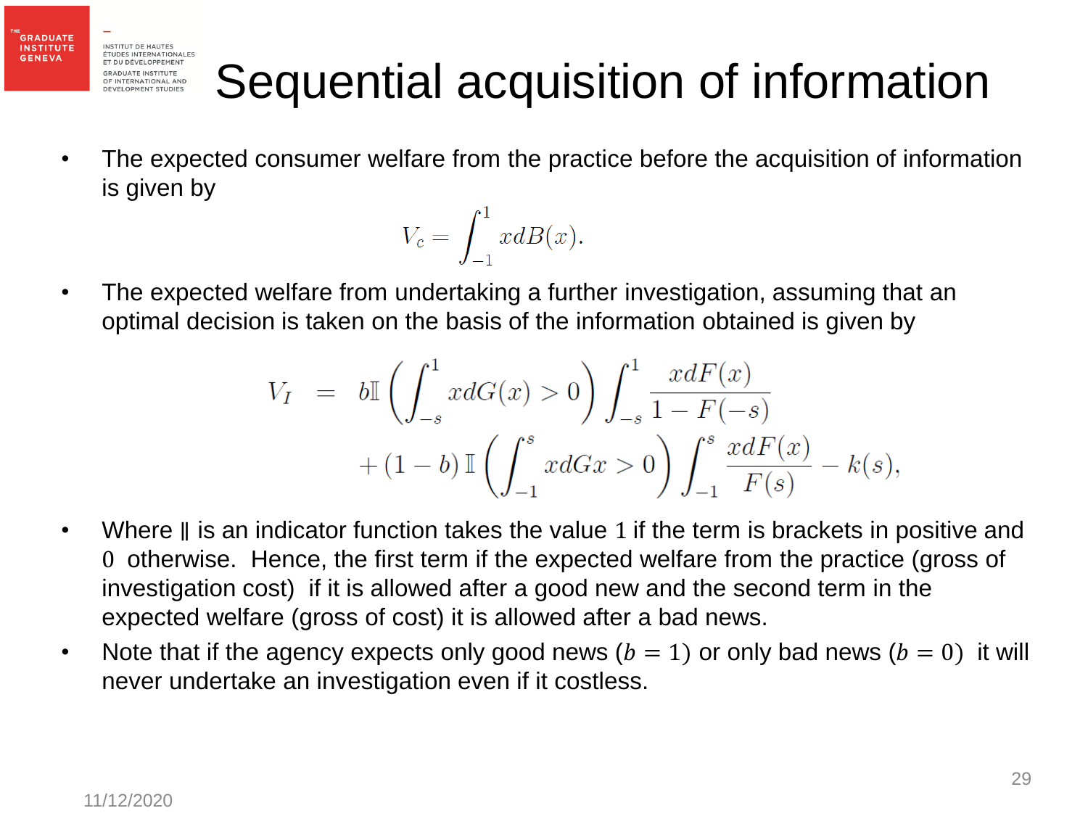**GRADUATE INSTITUTE** 

**GENEVA** 

# Sequential acquisition of information

• The expected consumer welfare from the practice before the acquisition of information is given by

$$
V_c = \int_{-1}^{1} x dB(x).
$$

• The expected welfare from undertaking a further investigation, assuming that an optimal decision is taken on the basis of the information obtained is given by

$$
V_I = b\mathbb{I}\left(\int_{-s}^1 x dG(x) > 0\right) \int_{-s}^1 \frac{x dF(x)}{1 - F(-s)}
$$
  
+  $(1 - b) \mathbb{I}\left(\int_{-1}^s x dGx > 0\right) \int_{-1}^s \frac{x dF(x)}{F(s)} - k(s),$ 

- Where ∥ is an indicator function takes the value 1 if the term is brackets in positive and 0 otherwise. Hence, the first term if the expected welfare from the practice (gross of investigation cost) if it is allowed after a good new and the second term in the expected welfare (gross of cost) it is allowed after a bad news.
- Note that if the agency expects only good news  $(b = 1)$  or only bad news  $(b = 0)$  it will never undertake an investigation even if it costless.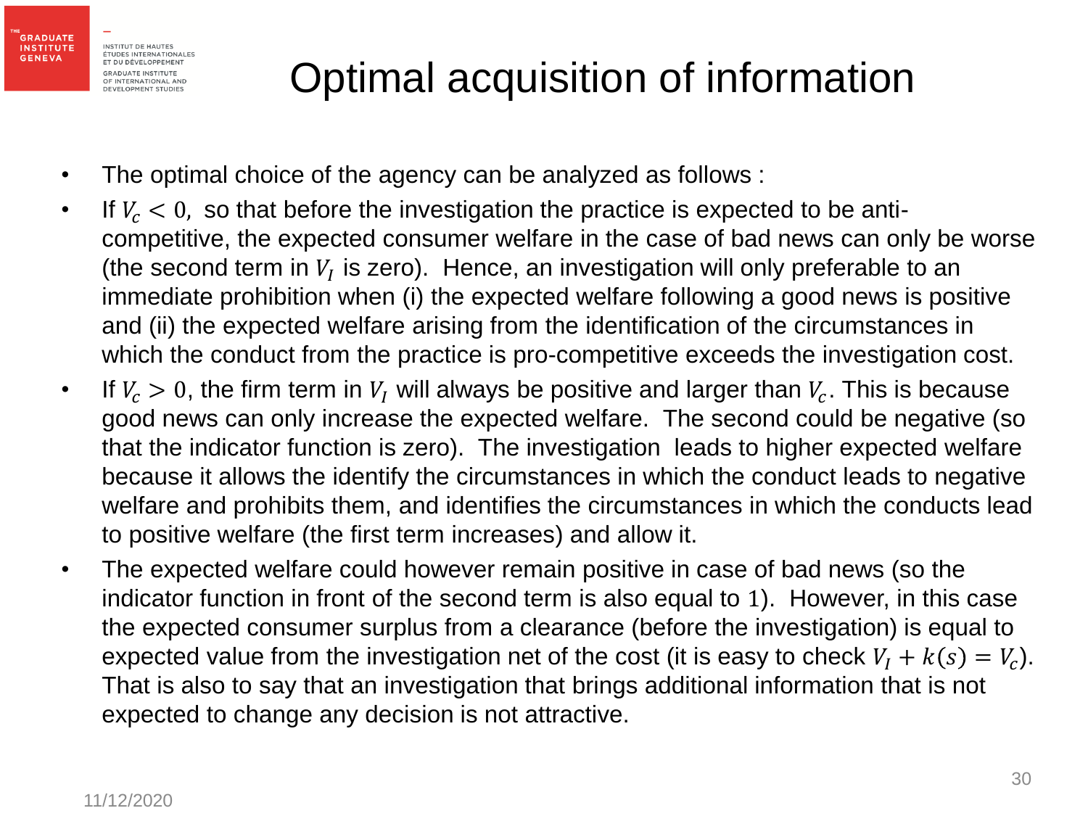

#### Optimal acquisition of information

- The optimal choice of the agency can be analyzed as follows :
- If  $V_c < 0$ , so that before the investigation the practice is expected to be anticompetitive, the expected consumer welfare in the case of bad news can only be worse (the second term in  $V_I$  is zero). Hence, an investigation will only preferable to an immediate prohibition when (i) the expected welfare following a good news is positive and (ii) the expected welfare arising from the identification of the circumstances in which the conduct from the practice is pro-competitive exceeds the investigation cost.
- If  $V_c > 0$ , the firm term in  $V_I$  will always be positive and larger than  $V_c$ . This is because good news can only increase the expected welfare. The second could be negative (so that the indicator function is zero). The investigation leads to higher expected welfare because it allows the identify the circumstances in which the conduct leads to negative welfare and prohibits them, and identifies the circumstances in which the conducts lead to positive welfare (the first term increases) and allow it.
- The expected welfare could however remain positive in case of bad news (so the indicator function in front of the second term is also equal to 1). However, in this case the expected consumer surplus from a clearance (before the investigation) is equal to expected value from the investigation net of the cost (it is easy to check  $V_I + k(s) = V_c$ ). That is also to say that an investigation that brings additional information that is not expected to change any decision is not attractive.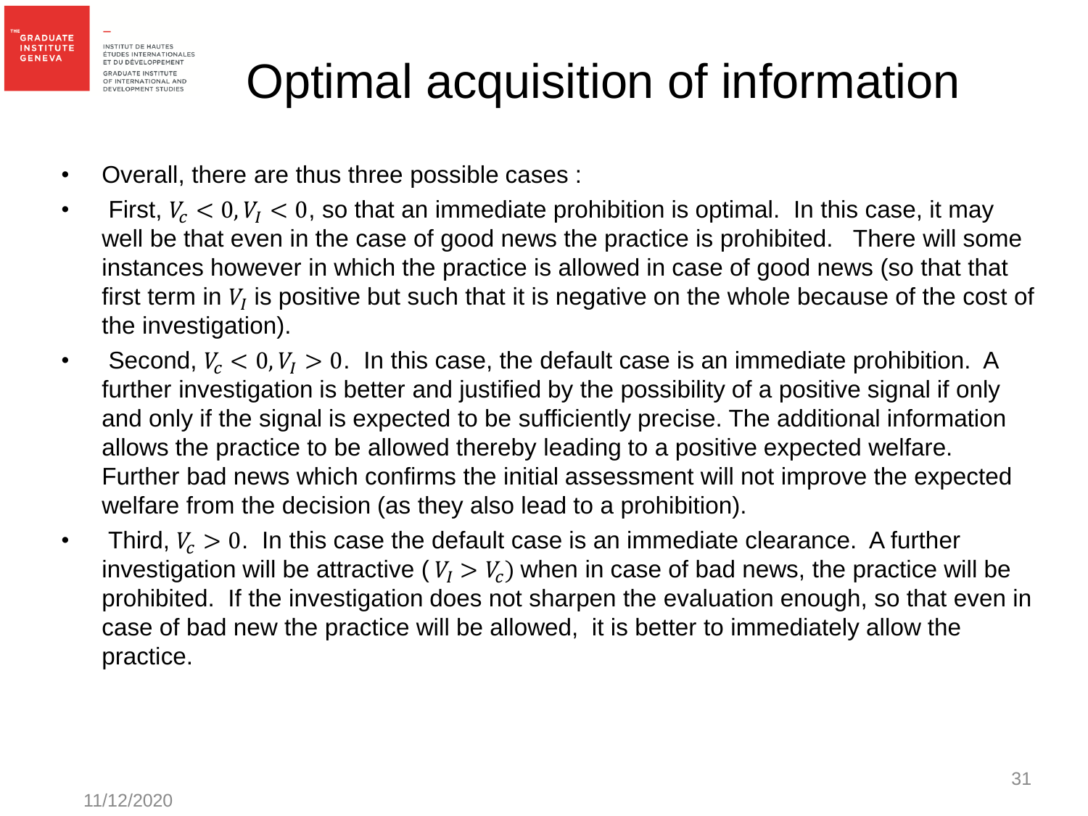**GRADUATE INSTITUTE** 

**GENEVA** 

# Optimal acquisition of information

- Overall, there are thus three possible cases :
- First,  $V_c < 0, V_l < 0$ , so that an immediate prohibition is optimal. In this case, it may well be that even in the case of good news the practice is prohibited. There will some instances however in which the practice is allowed in case of good news (so that that first term in  $V_I$  is positive but such that it is negative on the whole because of the cost of the investigation).
- Second,  $V_c < 0, V_l > 0$ . In this case, the default case is an immediate prohibition. A further investigation is better and justified by the possibility of a positive signal if only and only if the signal is expected to be sufficiently precise. The additional information allows the practice to be allowed thereby leading to a positive expected welfare. Further bad news which confirms the initial assessment will not improve the expected welfare from the decision (as they also lead to a prohibition).
- Third,  $V_c > 0$ . In this case the default case is an immediate clearance. A further investigation will be attractive ( $V_I > V_c$ ) when in case of bad news, the practice will be prohibited. If the investigation does not sharpen the evaluation enough, so that even in case of bad new the practice will be allowed, it is better to immediately allow the practice.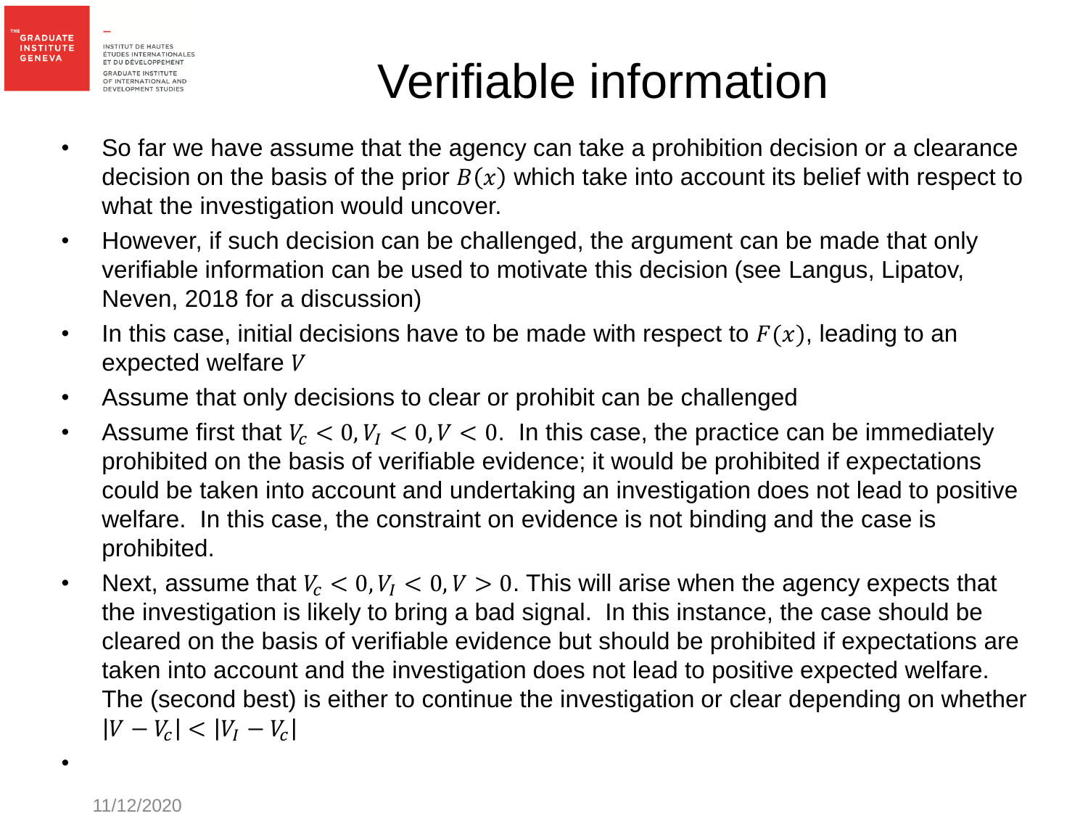

## Verifiable information

- So far we have assume that the agency can take a prohibition decision or a clearance decision on the basis of the prior  $B(x)$  which take into account its belief with respect to what the investigation would uncover.
- However, if such decision can be challenged, the argument can be made that only verifiable information can be used to motivate this decision (see Langus, Lipatov, Neven, 2018 for a discussion)
- In this case, initial decisions have to be made with respect to  $F(x)$ , leading to an expected welfare V
- Assume that only decisions to clear or prohibit can be challenged
- Assume first that  $V_c < 0, V_l < 0, V < 0$ . In this case, the practice can be immediately prohibited on the basis of verifiable evidence; it would be prohibited if expectations could be taken into account and undertaking an investigation does not lead to positive welfare. In this case, the constraint on evidence is not binding and the case is prohibited.
- Next, assume that  $V_c < 0, V_l < 0, V > 0$ . This will arise when the agency expects that the investigation is likely to bring a bad signal. In this instance, the case should be cleared on the basis of verifiable evidence but should be prohibited if expectations are taken into account and the investigation does not lead to positive expected welfare. The (second best) is either to continue the investigation or clear depending on whether  $|V - V_c| < |V_I - V_c|$

•